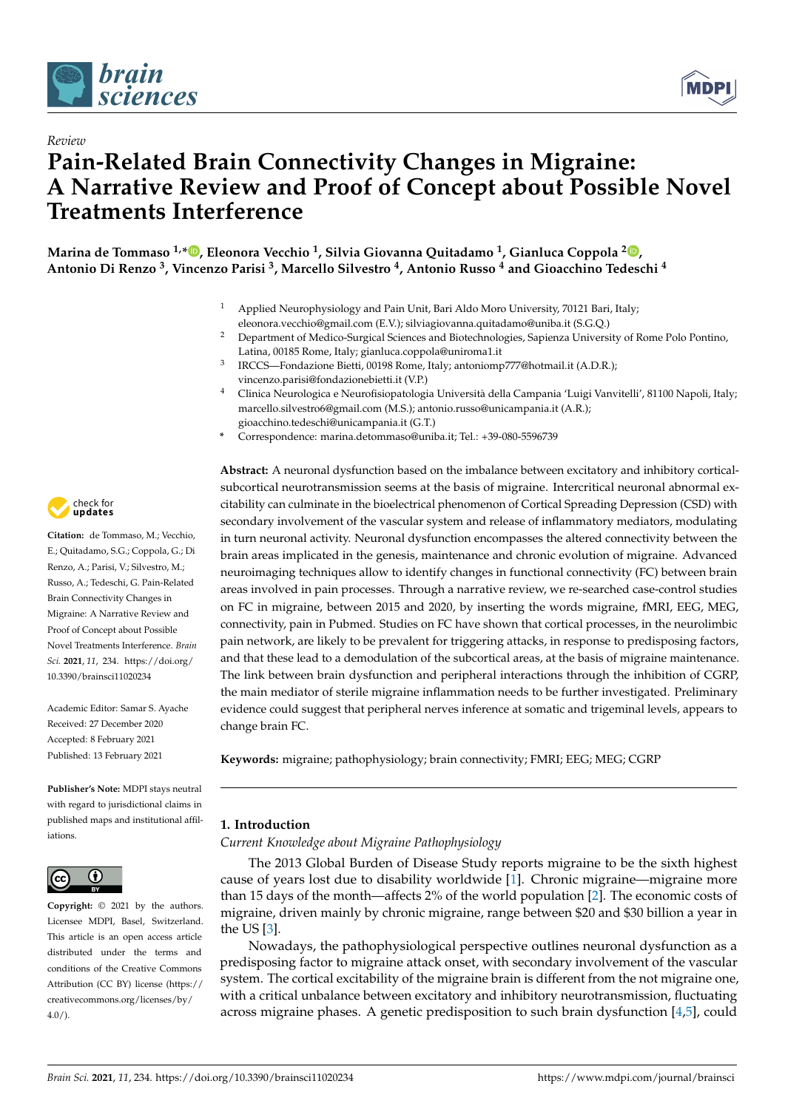



# *Review* **Pain-Related Brain Connectivity Changes in Migraine: A Narrative Review and Proof of Concept about Possible Novel Treatments Interference**

**Marina de Tommaso 1,\* [,](https://orcid.org/0000-0001-6567-5373) Eleonora Vecchio <sup>1</sup> , Silvia Giovanna Quitadamo <sup>1</sup> , Gianluca Coppola <sup>2</sup> [,](https://orcid.org/0000-0002-8510-6925) Antonio Di Renzo <sup>3</sup> , Vincenzo Parisi <sup>3</sup> , Marcello Silvestro <sup>4</sup> , Antonio Russo <sup>4</sup> and Gioacchino Tedeschi <sup>4</sup>**

- Applied Neurophysiology and Pain Unit, Bari Aldo Moro University, 70121 Bari, Italy;
- eleonora.vecchio@gmail.com (E.V.); silviagiovanna.quitadamo@uniba.it (S.G.Q.) <sup>2</sup> Department of Medico-Surgical Sciences and Biotechnologies, Sapienza University of Rome Polo Pontino, Latina, 00185 Rome, Italy; gianluca.coppola@uniroma1.it
- 3 IRCCS—Fondazione Bietti, 00198 Rome, Italy; antoniomp777@hotmail.it (A.D.R.); vincenzo.parisi@fondazionebietti.it (V.P.)
- <sup>4</sup> Clinica Neurologica e Neurofisiopatologia Università della Campania 'Luigi Vanvitelli', 81100 Napoli, Italy; marcello.silvestro6@gmail.com (M.S.); antonio.russo@unicampania.it (A.R.); gioacchino.tedeschi@unicampania.it (G.T.)
- **\*** Correspondence: marina.detommaso@uniba.it; Tel.: +39-080-5596739

**Abstract:** A neuronal dysfunction based on the imbalance between excitatory and inhibitory corticalsubcortical neurotransmission seems at the basis of migraine. Intercritical neuronal abnormal excitability can culminate in the bioelectrical phenomenon of Cortical Spreading Depression (CSD) with secondary involvement of the vascular system and release of inflammatory mediators, modulating in turn neuronal activity. Neuronal dysfunction encompasses the altered connectivity between the brain areas implicated in the genesis, maintenance and chronic evolution of migraine. Advanced neuroimaging techniques allow to identify changes in functional connectivity (FC) between brain areas involved in pain processes. Through a narrative review, we re-searched case-control studies on FC in migraine, between 2015 and 2020, by inserting the words migraine, fMRI, EEG, MEG, connectivity, pain in Pubmed. Studies on FC have shown that cortical processes, in the neurolimbic pain network, are likely to be prevalent for triggering attacks, in response to predisposing factors, and that these lead to a demodulation of the subcortical areas, at the basis of migraine maintenance. The link between brain dysfunction and peripheral interactions through the inhibition of CGRP, the main mediator of sterile migraine inflammation needs to be further investigated. Preliminary evidence could suggest that peripheral nerves inference at somatic and trigeminal levels, appears to change brain FC.

**Keywords:** migraine; pathophysiology; brain connectivity; FMRI; EEG; MEG; CGRP

# **1. Introduction**

*Current Knowledge about Migraine Pathophysiology*

The 2013 Global Burden of Disease Study reports migraine to be the sixth highest cause of years lost due to disability worldwide [\[1\]](#page-17-0). Chronic migraine—migraine more than 15 days of the month—affects 2% of the world population [\[2\]](#page-17-1). The economic costs of migraine, driven mainly by chronic migraine, range between \$20 and \$30 billion a year in the US [\[3\]](#page-17-2).

Nowadays, the pathophysiological perspective outlines neuronal dysfunction as a predisposing factor to migraine attack onset, with secondary involvement of the vascular system. The cortical excitability of the migraine brain is different from the not migraine one, with a critical unbalance between excitatory and inhibitory neurotransmission, fluctuating across migraine phases. A genetic predisposition to such brain dysfunction [\[4,](#page-17-3)[5\]](#page-17-4), could



**Citation:** de Tommaso, M.; Vecchio, E.; Quitadamo, S.G.; Coppola, G.; Di Renzo, A.; Parisi, V.; Silvestro, M.; Russo, A.; Tedeschi, G. Pain-Related Brain Connectivity Changes in Migraine: A Narrative Review and Proof of Concept about Possible Novel Treatments Interference. *Brain Sci.* **2021**, *11*, 234. [https://doi.org/](https://doi.org/10.3390/brainsci11020234) [10.3390/brainsci11020234](https://doi.org/10.3390/brainsci11020234)

Academic Editor: Samar S. Ayache Received: 27 December 2020 Accepted: 8 February 2021 Published: 13 February 2021

**Publisher's Note:** MDPI stays neutral with regard to jurisdictional claims in published maps and institutional affiliations.



**Copyright:** © 2021 by the authors. Licensee MDPI, Basel, Switzerland. This article is an open access article distributed under the terms and conditions of the Creative Commons Attribution (CC BY) license (https:/[/](https://creativecommons.org/licenses/by/4.0/) [creativecommons.org/licenses/by/](https://creativecommons.org/licenses/by/4.0/)  $4.0/$ ).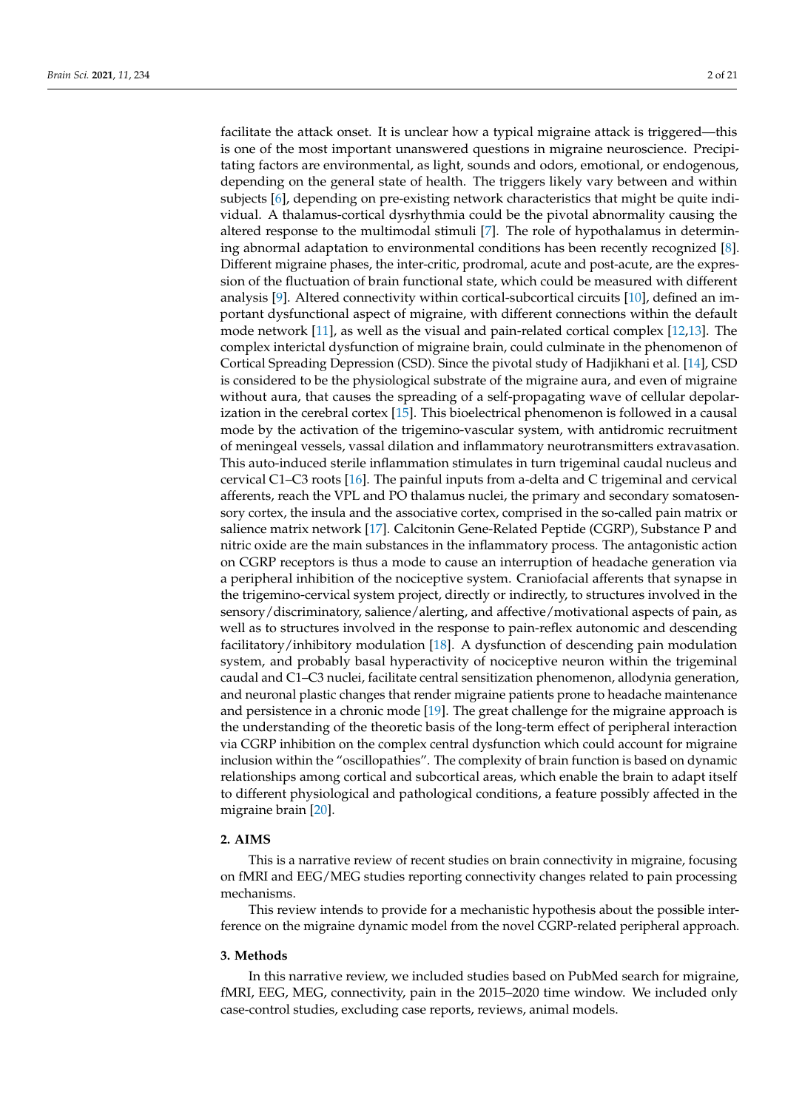facilitate the attack onset. It is unclear how a typical migraine attack is triggered—this is one of the most important unanswered questions in migraine neuroscience. Precipitating factors are environmental, as light, sounds and odors, emotional, or endogenous, depending on the general state of health. The triggers likely vary between and within subjects [\[6\]](#page-17-5), depending on pre-existing network characteristics that might be quite individual. A thalamus-cortical dysrhythmia could be the pivotal abnormality causing the altered response to the multimodal stimuli [\[7\]](#page-17-6). The role of hypothalamus in determining abnormal adaptation to environmental conditions has been recently recognized [\[8\]](#page-17-7). Different migraine phases, the inter-critic, prodromal, acute and post-acute, are the expression of the fluctuation of brain functional state, which could be measured with different analysis [\[9\]](#page-17-8). Altered connectivity within cortical-subcortical circuits [\[10\]](#page-17-9), defined an important dysfunctional aspect of migraine, with different connections within the default mode network [\[11\]](#page-17-10), as well as the visual and pain-related cortical complex [\[12](#page-17-11)[,13\]](#page-17-12). The complex interictal dysfunction of migraine brain, could culminate in the phenomenon of Cortical Spreading Depression (CSD). Since the pivotal study of Hadjikhani et al. [\[14\]](#page-17-13), CSD is considered to be the physiological substrate of the migraine aura, and even of migraine without aura, that causes the spreading of a self-propagating wave of cellular depolarization in the cerebral cortex [\[15\]](#page-17-14). This bioelectrical phenomenon is followed in a causal mode by the activation of the trigemino-vascular system, with antidromic recruitment of meningeal vessels, vassal dilation and inflammatory neurotransmitters extravasation. This auto-induced sterile inflammation stimulates in turn trigeminal caudal nucleus and cervical C1–C3 roots [\[16\]](#page-17-15). The painful inputs from a-delta and C trigeminal and cervical afferents, reach the VPL and PO thalamus nuclei, the primary and secondary somatosensory cortex, the insula and the associative cortex, comprised in the so-called pain matrix or salience matrix network [\[17\]](#page-17-16). Calcitonin Gene-Related Peptide (CGRP), Substance P and nitric oxide are the main substances in the inflammatory process. The antagonistic action on CGRP receptors is thus a mode to cause an interruption of headache generation via a peripheral inhibition of the nociceptive system. Craniofacial afferents that synapse in the trigemino-cervical system project, directly or indirectly, to structures involved in the sensory/discriminatory, salience/alerting, and affective/motivational aspects of pain, as well as to structures involved in the response to pain-reflex autonomic and descending facilitatory/inhibitory modulation [\[18\]](#page-17-17). A dysfunction of descending pain modulation system, and probably basal hyperactivity of nociceptive neuron within the trigeminal caudal and C1–C3 nuclei, facilitate central sensitization phenomenon, allodynia generation, and neuronal plastic changes that render migraine patients prone to headache maintenance and persistence in a chronic mode [\[19\]](#page-17-18). The great challenge for the migraine approach is the understanding of the theoretic basis of the long-term effect of peripheral interaction via CGRP inhibition on the complex central dysfunction which could account for migraine inclusion within the "oscillopathies". The complexity of brain function is based on dynamic relationships among cortical and subcortical areas, which enable the brain to adapt itself to different physiological and pathological conditions, a feature possibly affected in the migraine brain [\[20\]](#page-17-19).

## **2. AIMS**

This is a narrative review of recent studies on brain connectivity in migraine, focusing on fMRI and EEG/MEG studies reporting connectivity changes related to pain processing mechanisms.

This review intends to provide for a mechanistic hypothesis about the possible interference on the migraine dynamic model from the novel CGRP-related peripheral approach.

## **3. Methods**

In this narrative review, we included studies based on PubMed search for migraine, fMRI, EEG, MEG, connectivity, pain in the 2015–2020 time window. We included only case-control studies, excluding case reports, reviews, animal models.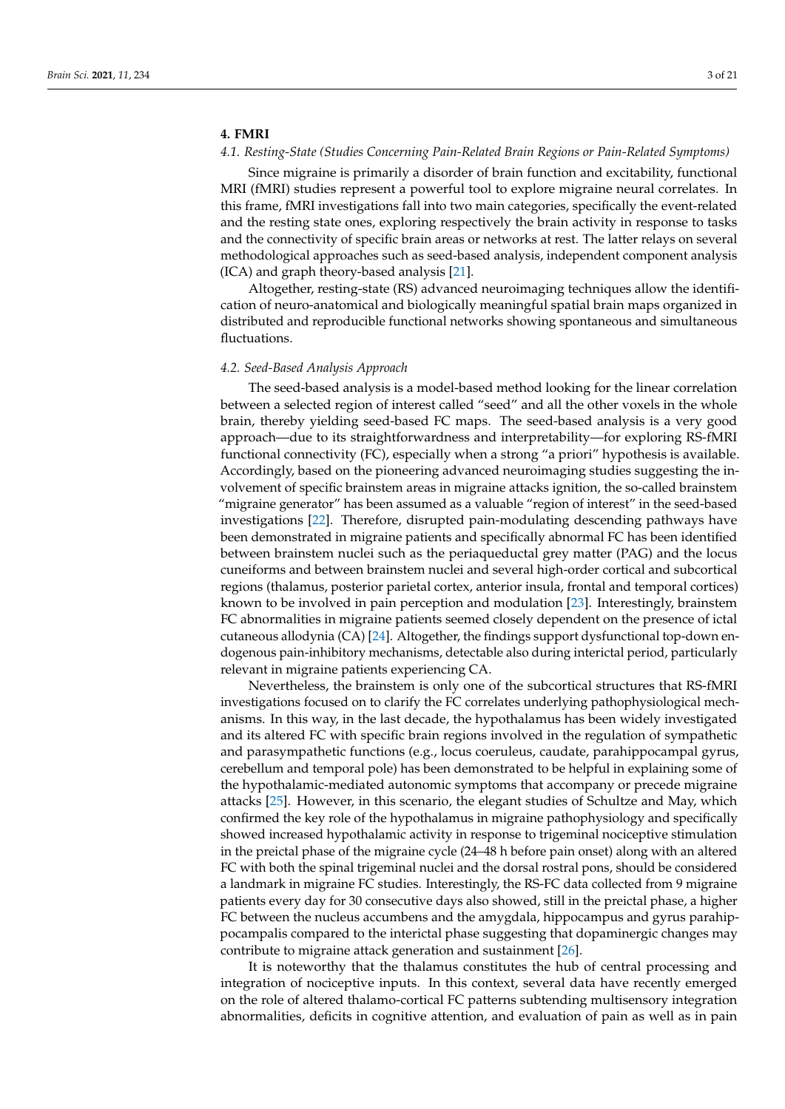# **4. FMRI**

### *4.1. Resting-State (Studies Concerning Pain-Related Brain Regions or Pain-Related Symptoms)*

Since migraine is primarily a disorder of brain function and excitability, functional MRI (fMRI) studies represent a powerful tool to explore migraine neural correlates. In this frame, fMRI investigations fall into two main categories, specifically the event-related and the resting state ones, exploring respectively the brain activity in response to tasks and the connectivity of specific brain areas or networks at rest. The latter relays on several methodological approaches such as seed-based analysis, independent component analysis (ICA) and graph theory-based analysis [\[21\]](#page-17-20).

Altogether, resting-state (RS) advanced neuroimaging techniques allow the identification of neuro-anatomical and biologically meaningful spatial brain maps organized in distributed and reproducible functional networks showing spontaneous and simultaneous fluctuations.

#### *4.2. Seed-Based Analysis Approach*

The seed-based analysis is a model-based method looking for the linear correlation between a selected region of interest called "seed" and all the other voxels in the whole brain, thereby yielding seed-based FC maps. The seed-based analysis is a very good approach—due to its straightforwardness and interpretability—for exploring RS-fMRI functional connectivity (FC), especially when a strong "a priori" hypothesis is available. Accordingly, based on the pioneering advanced neuroimaging studies suggesting the involvement of specific brainstem areas in migraine attacks ignition, the so-called brainstem "migraine generator" has been assumed as a valuable "region of interest" in the seed-based investigations [\[22\]](#page-17-21). Therefore, disrupted pain-modulating descending pathways have been demonstrated in migraine patients and specifically abnormal FC has been identified between brainstem nuclei such as the periaqueductal grey matter (PAG) and the locus cuneiforms and between brainstem nuclei and several high-order cortical and subcortical regions (thalamus, posterior parietal cortex, anterior insula, frontal and temporal cortices) known to be involved in pain perception and modulation [\[23\]](#page-17-22). Interestingly, brainstem FC abnormalities in migraine patients seemed closely dependent on the presence of ictal cutaneous allodynia (CA) [\[24\]](#page-17-23). Altogether, the findings support dysfunctional top-down endogenous pain-inhibitory mechanisms, detectable also during interictal period, particularly relevant in migraine patients experiencing CA.

Nevertheless, the brainstem is only one of the subcortical structures that RS-fMRI investigations focused on to clarify the FC correlates underlying pathophysiological mechanisms. In this way, in the last decade, the hypothalamus has been widely investigated and its altered FC with specific brain regions involved in the regulation of sympathetic and parasympathetic functions (e.g., locus coeruleus, caudate, parahippocampal gyrus, cerebellum and temporal pole) has been demonstrated to be helpful in explaining some of the hypothalamic-mediated autonomic symptoms that accompany or precede migraine attacks [\[25\]](#page-18-0). However, in this scenario, the elegant studies of Schultze and May, which confirmed the key role of the hypothalamus in migraine pathophysiology and specifically showed increased hypothalamic activity in response to trigeminal nociceptive stimulation in the preictal phase of the migraine cycle (24–48 h before pain onset) along with an altered FC with both the spinal trigeminal nuclei and the dorsal rostral pons, should be considered a landmark in migraine FC studies. Interestingly, the RS-FC data collected from 9 migraine patients every day for 30 consecutive days also showed, still in the preictal phase, a higher FC between the nucleus accumbens and the amygdala, hippocampus and gyrus parahippocampalis compared to the interictal phase suggesting that dopaminergic changes may contribute to migraine attack generation and sustainment [\[26\]](#page-18-1).

It is noteworthy that the thalamus constitutes the hub of central processing and integration of nociceptive inputs. In this context, several data have recently emerged on the role of altered thalamo-cortical FC patterns subtending multisensory integration abnormalities, deficits in cognitive attention, and evaluation of pain as well as in pain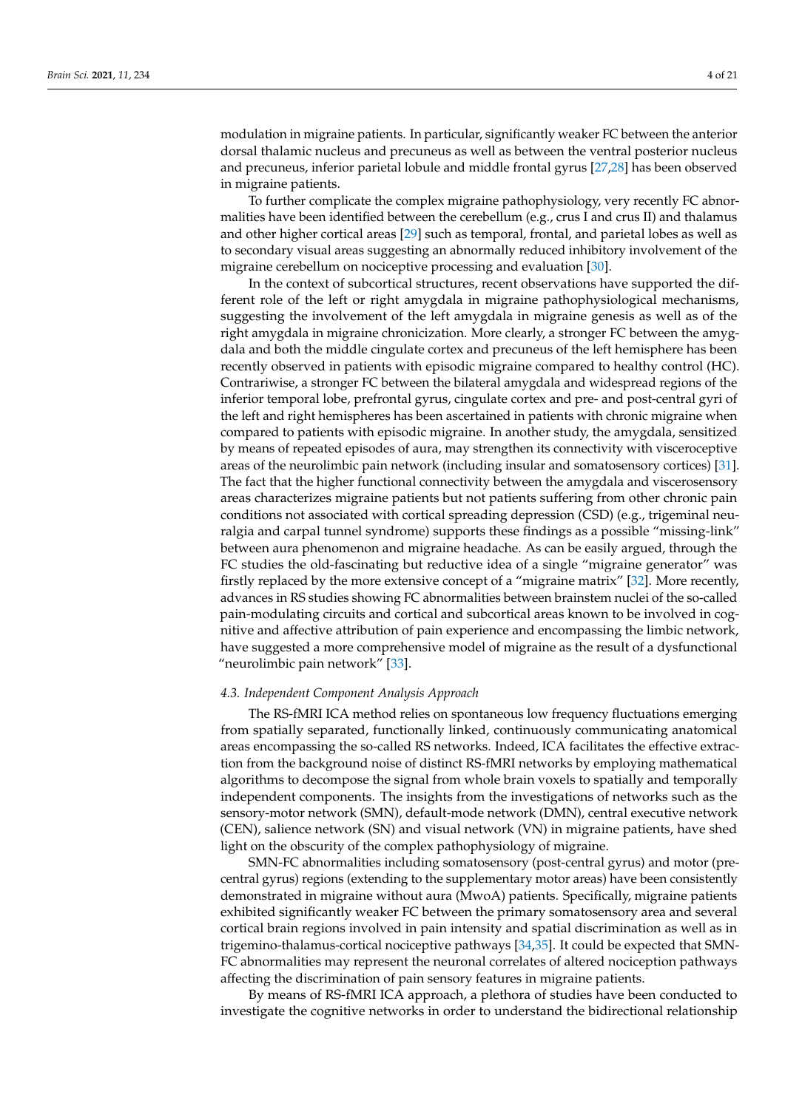modulation in migraine patients. In particular, significantly weaker FC between the anterior dorsal thalamic nucleus and precuneus as well as between the ventral posterior nucleus and precuneus, inferior parietal lobule and middle frontal gyrus [\[27,](#page-18-2)[28\]](#page-18-3) has been observed in migraine patients.

To further complicate the complex migraine pathophysiology, very recently FC abnormalities have been identified between the cerebellum (e.g., crus I and crus II) and thalamus and other higher cortical areas [\[29\]](#page-18-4) such as temporal, frontal, and parietal lobes as well as to secondary visual areas suggesting an abnormally reduced inhibitory involvement of the migraine cerebellum on nociceptive processing and evaluation [\[30\]](#page-18-5).

In the context of subcortical structures, recent observations have supported the different role of the left or right amygdala in migraine pathophysiological mechanisms, suggesting the involvement of the left amygdala in migraine genesis as well as of the right amygdala in migraine chronicization. More clearly, a stronger FC between the amygdala and both the middle cingulate cortex and precuneus of the left hemisphere has been recently observed in patients with episodic migraine compared to healthy control (HC). Contrariwise, a stronger FC between the bilateral amygdala and widespread regions of the inferior temporal lobe, prefrontal gyrus, cingulate cortex and pre- and post-central gyri of the left and right hemispheres has been ascertained in patients with chronic migraine when compared to patients with episodic migraine. In another study, the amygdala, sensitized by means of repeated episodes of aura, may strengthen its connectivity with visceroceptive areas of the neurolimbic pain network (including insular and somatosensory cortices) [\[31\]](#page-18-6). The fact that the higher functional connectivity between the amygdala and viscerosensory areas characterizes migraine patients but not patients suffering from other chronic pain conditions not associated with cortical spreading depression (CSD) (e.g., trigeminal neuralgia and carpal tunnel syndrome) supports these findings as a possible "missing-link" between aura phenomenon and migraine headache. As can be easily argued, through the FC studies the old-fascinating but reductive idea of a single "migraine generator" was firstly replaced by the more extensive concept of a "migraine matrix" [\[32\]](#page-18-7). More recently, advances in RS studies showing FC abnormalities between brainstem nuclei of the so-called pain-modulating circuits and cortical and subcortical areas known to be involved in cognitive and affective attribution of pain experience and encompassing the limbic network, have suggested a more comprehensive model of migraine as the result of a dysfunctional "neurolimbic pain network" [\[33\]](#page-18-8).

#### *4.3. Independent Component Analysis Approach*

The RS-fMRI ICA method relies on spontaneous low frequency fluctuations emerging from spatially separated, functionally linked, continuously communicating anatomical areas encompassing the so-called RS networks. Indeed, ICA facilitates the effective extraction from the background noise of distinct RS-fMRI networks by employing mathematical algorithms to decompose the signal from whole brain voxels to spatially and temporally independent components. The insights from the investigations of networks such as the sensory-motor network (SMN), default-mode network (DMN), central executive network (CEN), salience network (SN) and visual network (VN) in migraine patients, have shed light on the obscurity of the complex pathophysiology of migraine.

SMN-FC abnormalities including somatosensory (post-central gyrus) and motor (precentral gyrus) regions (extending to the supplementary motor areas) have been consistently demonstrated in migraine without aura (MwoA) patients. Specifically, migraine patients exhibited significantly weaker FC between the primary somatosensory area and several cortical brain regions involved in pain intensity and spatial discrimination as well as in trigemino-thalamus-cortical nociceptive pathways [\[34](#page-18-9)[,35\]](#page-18-10). It could be expected that SMN-FC abnormalities may represent the neuronal correlates of altered nociception pathways affecting the discrimination of pain sensory features in migraine patients.

By means of RS-fMRI ICA approach, a plethora of studies have been conducted to investigate the cognitive networks in order to understand the bidirectional relationship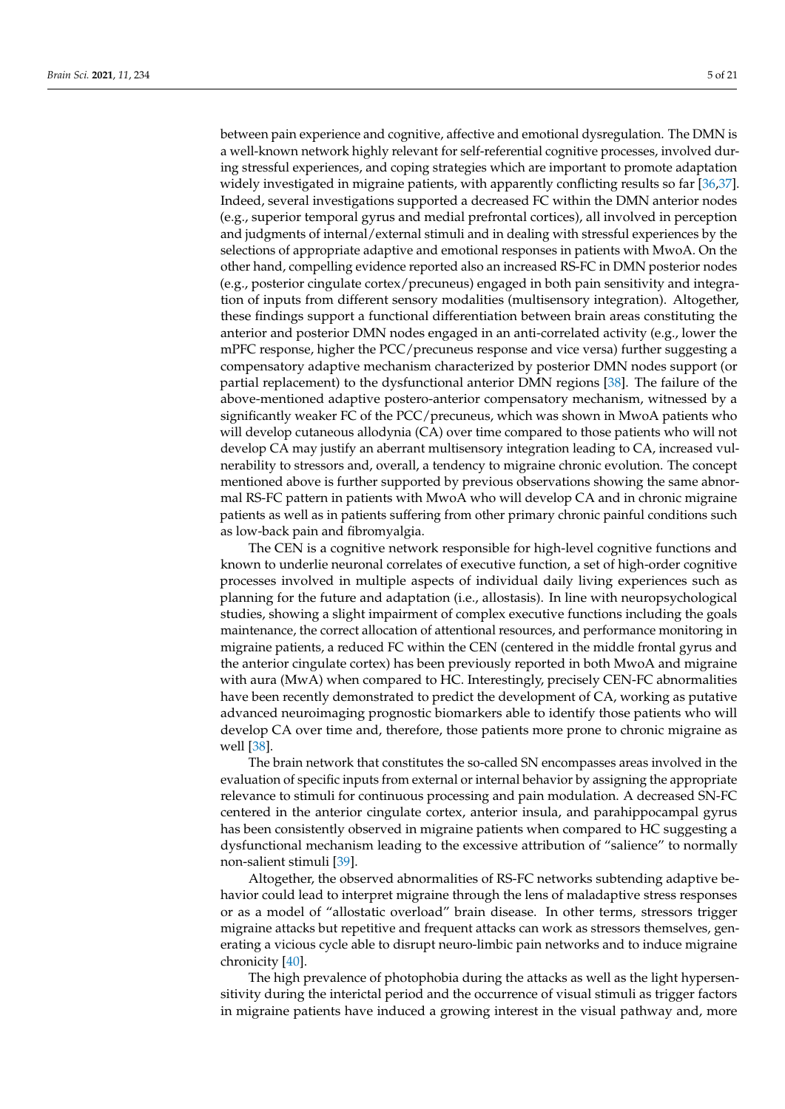between pain experience and cognitive, affective and emotional dysregulation. The DMN is a well-known network highly relevant for self-referential cognitive processes, involved during stressful experiences, and coping strategies which are important to promote adaptation widely investigated in migraine patients, with apparently conflicting results so far [\[36](#page-18-11)[,37\]](#page-18-12). Indeed, several investigations supported a decreased FC within the DMN anterior nodes (e.g., superior temporal gyrus and medial prefrontal cortices), all involved in perception and judgments of internal/external stimuli and in dealing with stressful experiences by the selections of appropriate adaptive and emotional responses in patients with MwoA. On the other hand, compelling evidence reported also an increased RS-FC in DMN posterior nodes (e.g., posterior cingulate cortex/precuneus) engaged in both pain sensitivity and integration of inputs from different sensory modalities (multisensory integration). Altogether, these findings support a functional differentiation between brain areas constituting the anterior and posterior DMN nodes engaged in an anti-correlated activity (e.g., lower the mPFC response, higher the PCC/precuneus response and vice versa) further suggesting a compensatory adaptive mechanism characterized by posterior DMN nodes support (or partial replacement) to the dysfunctional anterior DMN regions [\[38\]](#page-18-13). The failure of the above-mentioned adaptive postero-anterior compensatory mechanism, witnessed by a significantly weaker FC of the PCC/precuneus, which was shown in MwoA patients who will develop cutaneous allodynia (CA) over time compared to those patients who will not develop CA may justify an aberrant multisensory integration leading to CA, increased vulnerability to stressors and, overall, a tendency to migraine chronic evolution. The concept mentioned above is further supported by previous observations showing the same abnormal RS-FC pattern in patients with MwoA who will develop CA and in chronic migraine patients as well as in patients suffering from other primary chronic painful conditions such as low-back pain and fibromyalgia.

The CEN is a cognitive network responsible for high-level cognitive functions and known to underlie neuronal correlates of executive function, a set of high-order cognitive processes involved in multiple aspects of individual daily living experiences such as planning for the future and adaptation (i.e., allostasis). In line with neuropsychological studies, showing a slight impairment of complex executive functions including the goals maintenance, the correct allocation of attentional resources, and performance monitoring in migraine patients, a reduced FC within the CEN (centered in the middle frontal gyrus and the anterior cingulate cortex) has been previously reported in both MwoA and migraine with aura (MwA) when compared to HC. Interestingly, precisely CEN-FC abnormalities have been recently demonstrated to predict the development of CA, working as putative advanced neuroimaging prognostic biomarkers able to identify those patients who will develop CA over time and, therefore, those patients more prone to chronic migraine as well [\[38\]](#page-18-13).

The brain network that constitutes the so-called SN encompasses areas involved in the evaluation of specific inputs from external or internal behavior by assigning the appropriate relevance to stimuli for continuous processing and pain modulation. A decreased SN-FC centered in the anterior cingulate cortex, anterior insula, and parahippocampal gyrus has been consistently observed in migraine patients when compared to HC suggesting a dysfunctional mechanism leading to the excessive attribution of "salience" to normally non-salient stimuli [\[39\]](#page-18-14).

Altogether, the observed abnormalities of RS-FC networks subtending adaptive behavior could lead to interpret migraine through the lens of maladaptive stress responses or as a model of "allostatic overload" brain disease. In other terms, stressors trigger migraine attacks but repetitive and frequent attacks can work as stressors themselves, generating a vicious cycle able to disrupt neuro-limbic pain networks and to induce migraine chronicity [\[40\]](#page-18-15).

The high prevalence of photophobia during the attacks as well as the light hypersensitivity during the interictal period and the occurrence of visual stimuli as trigger factors in migraine patients have induced a growing interest in the visual pathway and, more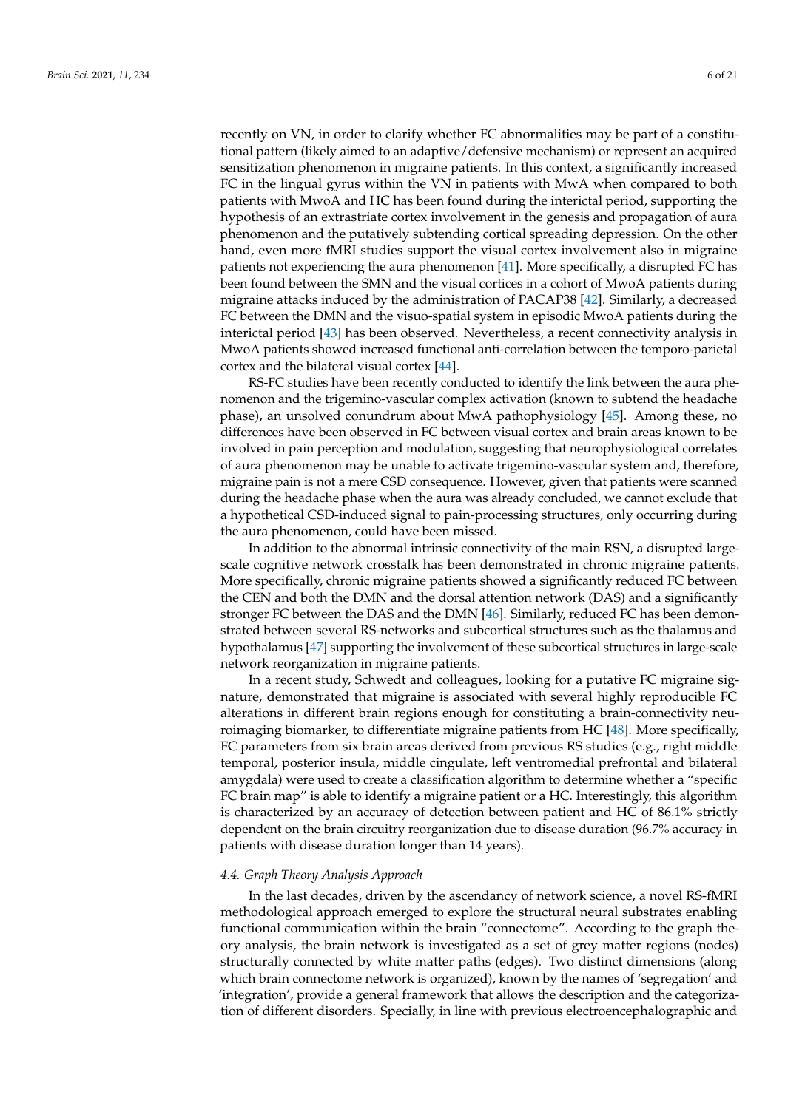recently on VN, in order to clarify whether FC abnormalities may be part of a constitutional pattern (likely aimed to an adaptive/defensive mechanism) or represent an acquired sensitization phenomenon in migraine patients. In this context, a significantly increased FC in the lingual gyrus within the VN in patients with MwA when compared to both patients with MwoA and HC has been found during the interictal period, supporting the hypothesis of an extrastriate cortex involvement in the genesis and propagation of aura phenomenon and the putatively subtending cortical spreading depression. On the other hand, even more fMRI studies support the visual cortex involvement also in migraine patients not experiencing the aura phenomenon [\[41\]](#page-18-16). More specifically, a disrupted FC has been found between the SMN and the visual cortices in a cohort of MwoA patients during migraine attacks induced by the administration of PACAP38 [\[42\]](#page-18-17). Similarly, a decreased FC between the DMN and the visuo-spatial system in episodic MwoA patients during the interictal period [\[43\]](#page-18-18) has been observed. Nevertheless, a recent connectivity analysis in MwoA patients showed increased functional anti-correlation between the temporo-parietal cortex and the bilateral visual cortex [\[44\]](#page-18-19).

RS-FC studies have been recently conducted to identify the link between the aura phenomenon and the trigemino-vascular complex activation (known to subtend the headache phase), an unsolved conundrum about MwA pathophysiology [\[45\]](#page-18-20). Among these, no differences have been observed in FC between visual cortex and brain areas known to be involved in pain perception and modulation, suggesting that neurophysiological correlates of aura phenomenon may be unable to activate trigemino-vascular system and, therefore, migraine pain is not a mere CSD consequence. However, given that patients were scanned during the headache phase when the aura was already concluded, we cannot exclude that a hypothetical CSD-induced signal to pain-processing structures, only occurring during the aura phenomenon, could have been missed.

In addition to the abnormal intrinsic connectivity of the main RSN, a disrupted largescale cognitive network crosstalk has been demonstrated in chronic migraine patients. More specifically, chronic migraine patients showed a significantly reduced FC between the CEN and both the DMN and the dorsal attention network (DAS) and a significantly stronger FC between the DAS and the DMN [\[46\]](#page-18-21). Similarly, reduced FC has been demonstrated between several RS-networks and subcortical structures such as the thalamus and hypothalamus [\[47\]](#page-18-22) supporting the involvement of these subcortical structures in large-scale network reorganization in migraine patients.

In a recent study, Schwedt and colleagues, looking for a putative FC migraine signature, demonstrated that migraine is associated with several highly reproducible FC alterations in different brain regions enough for constituting a brain-connectivity neuroimaging biomarker, to differentiate migraine patients from HC [\[48\]](#page-18-23). More specifically, FC parameters from six brain areas derived from previous RS studies (e.g., right middle temporal, posterior insula, middle cingulate, left ventromedial prefrontal and bilateral amygdala) were used to create a classification algorithm to determine whether a "specific FC brain map" is able to identify a migraine patient or a HC. Interestingly, this algorithm is characterized by an accuracy of detection between patient and HC of 86.1% strictly dependent on the brain circuitry reorganization due to disease duration (96.7% accuracy in patients with disease duration longer than 14 years).

#### *4.4. Graph Theory Analysis Approach*

In the last decades, driven by the ascendancy of network science, a novel RS-fMRI methodological approach emerged to explore the structural neural substrates enabling functional communication within the brain "connectome". According to the graph theory analysis, the brain network is investigated as a set of grey matter regions (nodes) structurally connected by white matter paths (edges). Two distinct dimensions (along which brain connectome network is organized), known by the names of 'segregation' and 'integration', provide a general framework that allows the description and the categorization of different disorders. Specially, in line with previous electroencephalographic and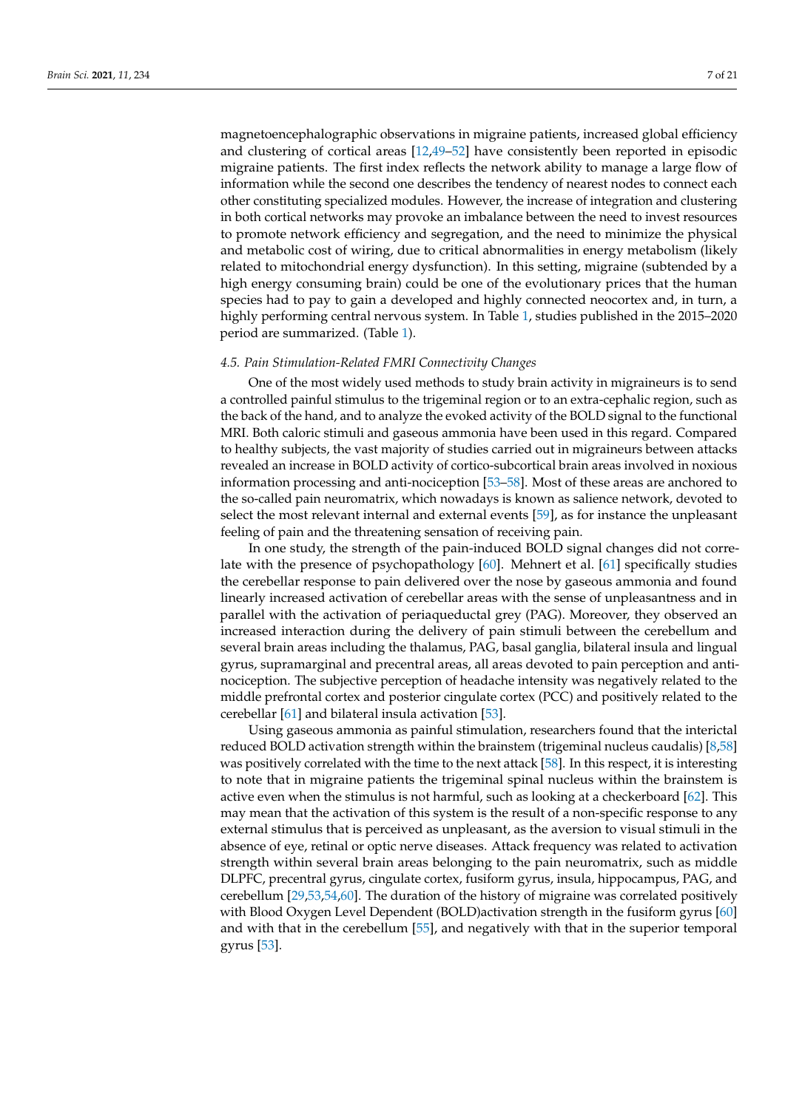magnetoencephalographic observations in migraine patients, increased global efficiency and clustering of cortical areas [\[12](#page-17-11)[,49–](#page-18-24)[52\]](#page-19-0) have consistently been reported in episodic migraine patients. The first index reflects the network ability to manage a large flow of information while the second one describes the tendency of nearest nodes to connect each other constituting specialized modules. However, the increase of integration and clustering in both cortical networks may provoke an imbalance between the need to invest resources to promote network efficiency and segregation, and the need to minimize the physical and metabolic cost of wiring, due to critical abnormalities in energy metabolism (likely related to mitochondrial energy dysfunction). In this setting, migraine (subtended by a high energy consuming brain) could be one of the evolutionary prices that the human species had to pay to gain a developed and highly connected neocortex and, in turn, a highly performing central nervous system. In Table [1,](#page-9-0) studies published in the 2015–2020 period are summarized. (Table [1\)](#page-9-0).

#### *4.5. Pain Stimulation-Related FMRI Connectivity Changes*

One of the most widely used methods to study brain activity in migraineurs is to send a controlled painful stimulus to the trigeminal region or to an extra-cephalic region, such as the back of the hand, and to analyze the evoked activity of the BOLD signal to the functional MRI. Both caloric stimuli and gaseous ammonia have been used in this regard. Compared to healthy subjects, the vast majority of studies carried out in migraineurs between attacks revealed an increase in BOLD activity of cortico-subcortical brain areas involved in noxious information processing and anti-nociception [\[53–](#page-19-1)[58\]](#page-19-2). Most of these areas are anchored to the so-called pain neuromatrix, which nowadays is known as salience network, devoted to select the most relevant internal and external events [\[59\]](#page-19-3), as for instance the unpleasant feeling of pain and the threatening sensation of receiving pain.

In one study, the strength of the pain-induced BOLD signal changes did not correlate with the presence of psychopathology [\[60\]](#page-19-4). Mehnert et al. [\[61\]](#page-19-5) specifically studies the cerebellar response to pain delivered over the nose by gaseous ammonia and found linearly increased activation of cerebellar areas with the sense of unpleasantness and in parallel with the activation of periaqueductal grey (PAG). Moreover, they observed an increased interaction during the delivery of pain stimuli between the cerebellum and several brain areas including the thalamus, PAG, basal ganglia, bilateral insula and lingual gyrus, supramarginal and precentral areas, all areas devoted to pain perception and antinociception. The subjective perception of headache intensity was negatively related to the middle prefrontal cortex and posterior cingulate cortex (PCC) and positively related to the cerebellar [\[61\]](#page-19-5) and bilateral insula activation [\[53\]](#page-19-1).

Using gaseous ammonia as painful stimulation, researchers found that the interictal reduced BOLD activation strength within the brainstem (trigeminal nucleus caudalis) [\[8,](#page-17-7)[58\]](#page-19-2) was positively correlated with the time to the next attack [\[58\]](#page-19-2). In this respect, it is interesting to note that in migraine patients the trigeminal spinal nucleus within the brainstem is active even when the stimulus is not harmful, such as looking at a checkerboard [\[62\]](#page-19-6). This may mean that the activation of this system is the result of a non-specific response to any external stimulus that is perceived as unpleasant, as the aversion to visual stimuli in the absence of eye, retinal or optic nerve diseases. Attack frequency was related to activation strength within several brain areas belonging to the pain neuromatrix, such as middle DLPFC, precentral gyrus, cingulate cortex, fusiform gyrus, insula, hippocampus, PAG, and cerebellum [\[29,](#page-18-4)[53,](#page-19-1)[54](#page-19-7)[,60\]](#page-19-4). The duration of the history of migraine was correlated positively with Blood Oxygen Level Dependent (BOLD)activation strength in the fusiform gyrus [\[60\]](#page-19-4) and with that in the cerebellum [\[55\]](#page-19-8), and negatively with that in the superior temporal gyrus [\[53\]](#page-19-1).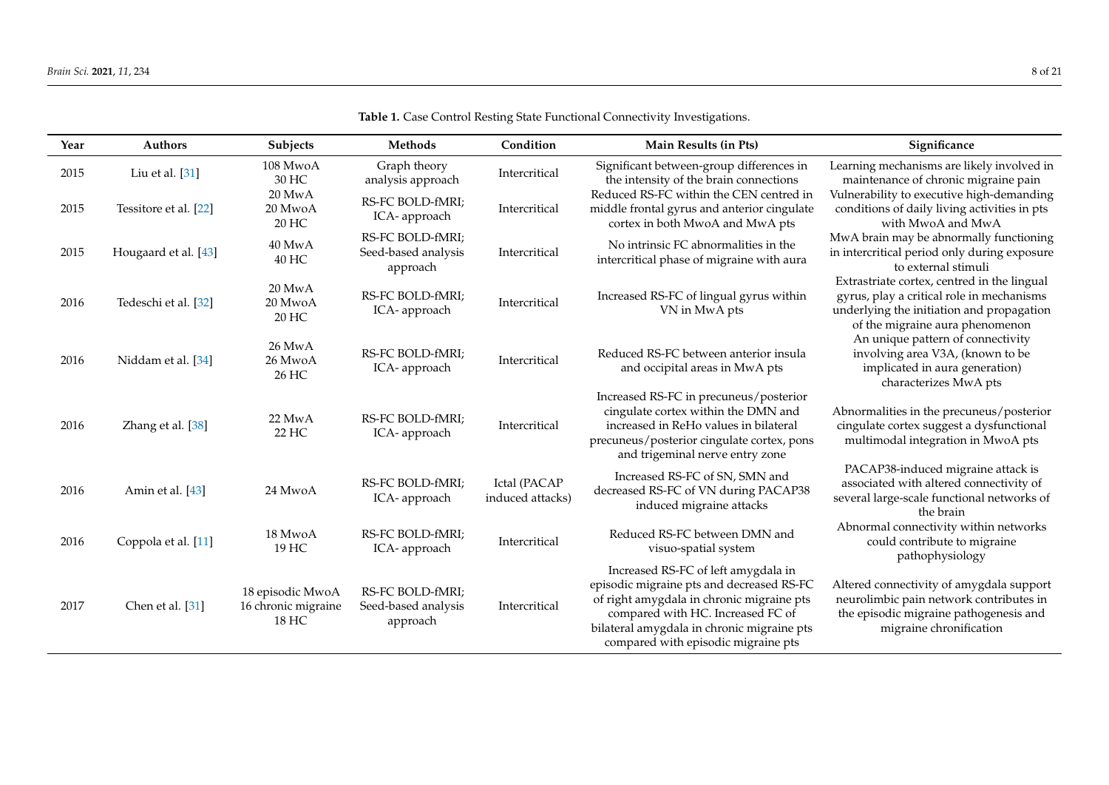| Year | <b>Authors</b>        | Subjects                                         | <b>Methods</b>                                      | Condition                        | Main Results (in Pts)                                                                                                                                                                                                                                   | Significance                                                                                                                                                             |
|------|-----------------------|--------------------------------------------------|-----------------------------------------------------|----------------------------------|---------------------------------------------------------------------------------------------------------------------------------------------------------------------------------------------------------------------------------------------------------|--------------------------------------------------------------------------------------------------------------------------------------------------------------------------|
| 2015 | Liu et al. [31]       | 108 MwoA<br>30 HC                                | Graph theory<br>analysis approach                   | Intercritical                    | Significant between-group differences in<br>the intensity of the brain connections                                                                                                                                                                      | Learning mechanisms are likely involved in<br>maintenance of chronic migraine pain                                                                                       |
| 2015 | Tessitore et al. [22] | $20$ MwA<br>20 MwoA<br>20 HC                     | RS-FC BOLD-fMRI;<br>ICA-approach                    | Intercritical                    | Reduced RS-FC within the CEN centred in<br>middle frontal gyrus and anterior cingulate<br>cortex in both MwoA and MwA pts                                                                                                                               | Vulnerability to executive high-demanding<br>conditions of daily living activities in pts<br>with MwoA and MwA                                                           |
| 2015 | Hougaard et al. [43]  | $40$ MwA<br>40 HC                                | RS-FC BOLD-fMRI;<br>Seed-based analysis<br>approach | Intercritical                    | No intrinsic FC abnormalities in the<br>intercritical phase of migraine with aura                                                                                                                                                                       | MwA brain may be abnormally functioning<br>in intercritical period only during exposure<br>to external stimuli                                                           |
| 2016 | Tedeschi et al. [32]  | 20 MwA<br>20 MwoA<br>20 HC                       | RS-FC BOLD-fMRI;<br>ICA-approach                    | Intercritical                    | Increased RS-FC of lingual gyrus within<br>VN in MwA pts                                                                                                                                                                                                | Extrastriate cortex, centred in the lingual<br>gyrus, play a critical role in mechanisms<br>underlying the initiation and propagation<br>of the migraine aura phenomenon |
| 2016 | Niddam et al. [34]    | 26 MwA<br>26 MwoA<br>26 HC                       | RS-FC BOLD-fMRI;<br>ICA-approach                    | Intercritical                    | Reduced RS-FC between anterior insula<br>and occipital areas in MwA pts                                                                                                                                                                                 | An unique pattern of connectivity<br>involving area V3A, (known to be<br>implicated in aura generation)<br>characterizes MwA pts                                         |
| 2016 | Zhang et al. [38]     | $22$ MwA<br>22 HC                                | RS-FC BOLD-fMRI;<br>ICA-approach                    | Intercritical                    | Increased RS-FC in precuneus/posterior<br>cingulate cortex within the DMN and<br>increased in ReHo values in bilateral<br>precuneus/posterior cingulate cortex, pons<br>and trigeminal nerve entry zone                                                 | Abnormalities in the precuneus/posterior<br>cingulate cortex suggest a dysfunctional<br>multimodal integration in MwoA pts                                               |
| 2016 | Amin et al. [43]      | 24 MwoA                                          | RS-FC BOLD-fMRI;<br>ICA-approach                    | Ictal (PACAP<br>induced attacks) | Increased RS-FC of SN, SMN and<br>decreased RS-FC of VN during PACAP38<br>induced migraine attacks                                                                                                                                                      | PACAP38-induced migraine attack is<br>associated with altered connectivity of<br>several large-scale functional networks of<br>the brain                                 |
| 2016 | Coppola et al. [11]   | 18 MwoA<br>19 HC                                 | RS-FC BOLD-fMRI;<br>ICA-approach                    | Intercritical                    | Reduced RS-FC between DMN and<br>visuo-spatial system                                                                                                                                                                                                   | Abnormal connectivity within networks<br>could contribute to migraine<br>pathophysiology                                                                                 |
| 2017 | Chen et al. [31]      | 18 episodic MwoA<br>16 chronic migraine<br>18 HC | RS-FC BOLD-fMRI;<br>Seed-based analysis<br>approach | Intercritical                    | Increased RS-FC of left amygdala in<br>episodic migraine pts and decreased RS-FC<br>of right amygdala in chronic migraine pts<br>compared with HC. Increased FC of<br>bilateral amygdala in chronic migraine pts<br>compared with episodic migraine pts | Altered connectivity of amygdala support<br>neurolimbic pain network contributes in<br>the episodic migraine pathogenesis and<br>migraine chronification                 |

**Table 1.** Case Control Resting State Functional Connectivity Investigations.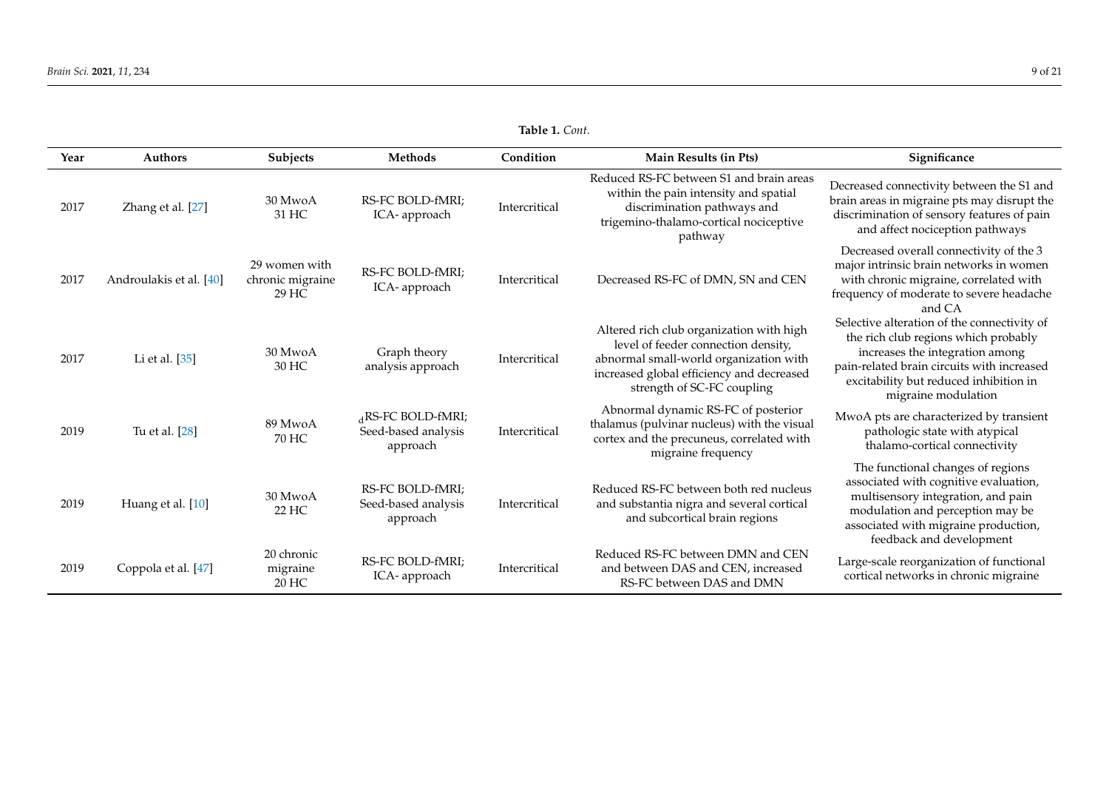| Year | <b>Authors</b>          | Subjects                                   | Methods                                                          | Condition     | Main Results (in Pts)                                                                                                                                                                                | Significance                                                                                                                                                                                                                          |
|------|-------------------------|--------------------------------------------|------------------------------------------------------------------|---------------|------------------------------------------------------------------------------------------------------------------------------------------------------------------------------------------------------|---------------------------------------------------------------------------------------------------------------------------------------------------------------------------------------------------------------------------------------|
| 2017 | Zhang et al. [27]       | 30 MwoA<br>31 HC                           | <b>RS-FC BOLD-fMRI:</b><br>ICA-approach                          | Intercritical | Reduced RS-FC between S1 and brain areas<br>within the pain intensity and spatial<br>discrimination pathways and<br>trigemino-thalamo-cortical nociceptive<br>pathway                                | Decreased connectivity between the S1 and<br>brain areas in migraine pts may disrupt the<br>discrimination of sensory features of pain<br>and affect nociception pathways                                                             |
| 2017 | Androulakis et al. [40] | 29 women with<br>chronic migraine<br>29 HC | RS-FC BOLD-fMRI;<br>ICA-approach                                 | Intercritical | Decreased RS-FC of DMN, SN and CEN                                                                                                                                                                   | Decreased overall connectivity of the 3<br>major intrinsic brain networks in women<br>with chronic migraine, correlated with<br>frequency of moderate to severe headache<br>and CA                                                    |
| 2017 | Li et al. [35]          | 30 MwoA<br>30 HC                           | Graph theory<br>analysis approach                                | Intercritical | Altered rich club organization with high<br>level of feeder connection density,<br>abnormal small-world organization with<br>increased global efficiency and decreased<br>strength of SC-FC coupling | Selective alteration of the connectivity of<br>the rich club regions which probably<br>increases the integration among<br>pain-related brain circuits with increased<br>excitability but reduced inhibition in<br>migraine modulation |
| 2019 | Tu et al. [28]          | 89 MwoA<br>70 HC                           | <sub>d</sub> RS-FC BOLD-fMRI;<br>Seed-based analysis<br>approach | Intercritical | Abnormal dynamic RS-FC of posterior<br>thalamus (pulvinar nucleus) with the visual<br>cortex and the precuneus, correlated with<br>migraine frequency                                                | MwoA pts are characterized by transient<br>pathologic state with atypical<br>thalamo-cortical connectivity                                                                                                                            |
| 2019 | Huang et al. [10]       | 30 MwoA<br>22 HC                           | RS-FC BOLD-fMRI;<br>Seed-based analysis<br>approach              | Intercritical | Reduced RS-FC between both red nucleus<br>and substantia nigra and several cortical<br>and subcortical brain regions                                                                                 | The functional changes of regions<br>associated with cognitive evaluation,<br>multisensory integration, and pain<br>modulation and perception may be<br>associated with migraine production,<br>feedback and development              |
| 2019 | Coppola et al. [47]     | 20 chronic<br>migraine<br>20 HC            | RS-FC BOLD-fMRI;<br>ICA-approach                                 | Intercritical | Reduced RS-FC between DMN and CEN<br>and between DAS and CEN, increased<br>RS-FC between DAS and DMN                                                                                                 | Large-scale reorganization of functional<br>cortical networks in chronic migraine                                                                                                                                                     |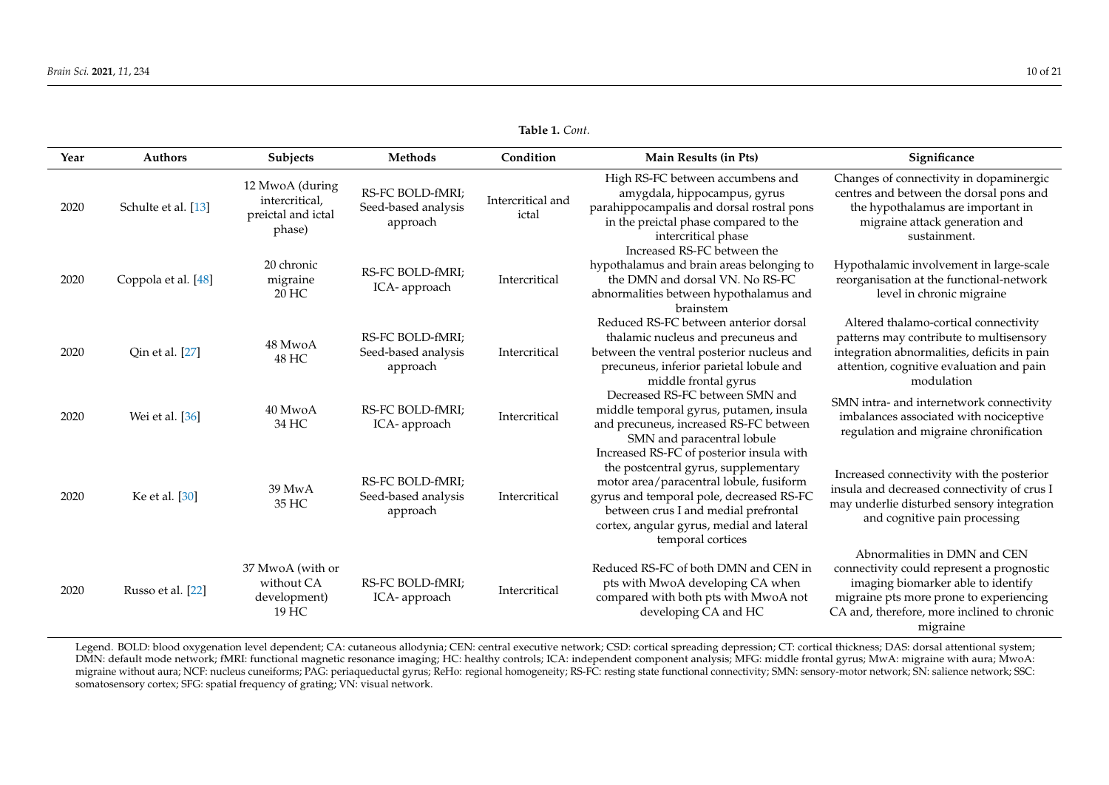|  | Table 1. Cont. |
|--|----------------|
|--|----------------|

| Year | Authors             | <b>Subjects</b>                                                   | Methods                                                    | Condition                  | Main Results (in Pts)                                                                                                                                                                                                                                                             | Significance                                                                                                                                                                                                          |
|------|---------------------|-------------------------------------------------------------------|------------------------------------------------------------|----------------------------|-----------------------------------------------------------------------------------------------------------------------------------------------------------------------------------------------------------------------------------------------------------------------------------|-----------------------------------------------------------------------------------------------------------------------------------------------------------------------------------------------------------------------|
| 2020 | Schulte et al. [13] | 12 MwoA (during<br>intercritical,<br>preictal and ictal<br>phase) | <b>RS-FC BOLD-fMRI:</b><br>Seed-based analysis<br>approach | Intercritical and<br>ictal | High RS-FC between accumbens and<br>amygdala, hippocampus, gyrus<br>parahippocampalis and dorsal rostral pons<br>in the preictal phase compared to the<br>intercritical phase<br>Increased RS-FC between the                                                                      | Changes of connectivity in dopaminergic<br>centres and between the dorsal pons and<br>the hypothalamus are important in<br>migraine attack generation and<br>sustainment.                                             |
| 2020 | Coppola et al. [48] | 20 chronic<br>migraine<br>20 HC                                   | RS-FC BOLD-fMRI;<br>ICA-approach                           | Intercritical              | hypothalamus and brain areas belonging to<br>the DMN and dorsal VN. No RS-FC<br>abnormalities between hypothalamus and                                                                                                                                                            | Hypothalamic involvement in large-scale<br>reorganisation at the functional-network<br>level in chronic migraine                                                                                                      |
| 2020 | Qin et al. [27]     | 48 MwoA<br>48 HC                                                  | RS-FC BOLD-fMRI;<br>Seed-based analysis<br>approach        | Intercritical              | brainstem<br>Reduced RS-FC between anterior dorsal<br>thalamic nucleus and precuneus and<br>between the ventral posterior nucleus and<br>precuneus, inferior parietal lobule and<br>middle frontal gyrus                                                                          | Altered thalamo-cortical connectivity<br>patterns may contribute to multisensory<br>integration abnormalities, deficits in pain<br>attention, cognitive evaluation and pain<br>modulation                             |
| 2020 | Wei et al. [36]     | 40 MwoA<br>34 HC                                                  | RS-FC BOLD-fMRI;<br>ICA-approach                           | Intercritical              | Decreased RS-FC between SMN and<br>middle temporal gyrus, putamen, insula<br>and precuneus, increased RS-FC between<br>SMN and paracentral lobule                                                                                                                                 | SMN intra- and internetwork connectivity<br>imbalances associated with nociceptive<br>regulation and migraine chronification                                                                                          |
| 2020 | Ke et al. [30]      | 39 MwA<br>35 HC                                                   | RS-FC BOLD-fMRI;<br>Seed-based analysis<br>approach        | Intercritical              | Increased RS-FC of posterior insula with<br>the postcentral gyrus, supplementary<br>motor area/paracentral lobule, fusiform<br>gyrus and temporal pole, decreased RS-FC<br>between crus I and medial prefrontal<br>cortex, angular gyrus, medial and lateral<br>temporal cortices | Increased connectivity with the posterior<br>insula and decreased connectivity of crus I<br>may underlie disturbed sensory integration<br>and cognitive pain processing                                               |
| 2020 | Russo et al. [22]   | 37 MwoA (with or<br>without CA<br>development)<br>19 HC           | <b>RS-FC BOLD-fMRI:</b><br>ICA- approach                   | Intercritical              | Reduced RS-FC of both DMN and CEN in<br>pts with MwoA developing CA when<br>compared with both pts with MwoA not<br>developing CA and HC                                                                                                                                          | Abnormalities in DMN and CEN<br>connectivity could represent a prognostic<br>imaging biomarker able to identify<br>migraine pts more prone to experiencing<br>CA and, therefore, more inclined to chronic<br>migraine |

<span id="page-9-0"></span>Legend. BOLD: blood oxygenation level dependent; CA: cutaneous allodynia; CEN: central executive network; CSD: cortical spreading depression; CT: cortical thickness; DAS: dorsal attentional system; DMN: default mode network; fMRI: functional magnetic resonance imaging; HC: healthy controls; ICA: independent component analysis; MFG: middle frontal gyrus; MwA: migraine with aura; MwoA: migraine without aura; NCF: nucleus cuneiforms; PAG: periaqueductal gyrus; ReHo: regional homogeneity; RS-FC: resting state functional connectivity; SMN: sensory-motor network; SN: salience network; SSC: somatosensory cortex; SFG: spatial frequency of grating; VN: visual network.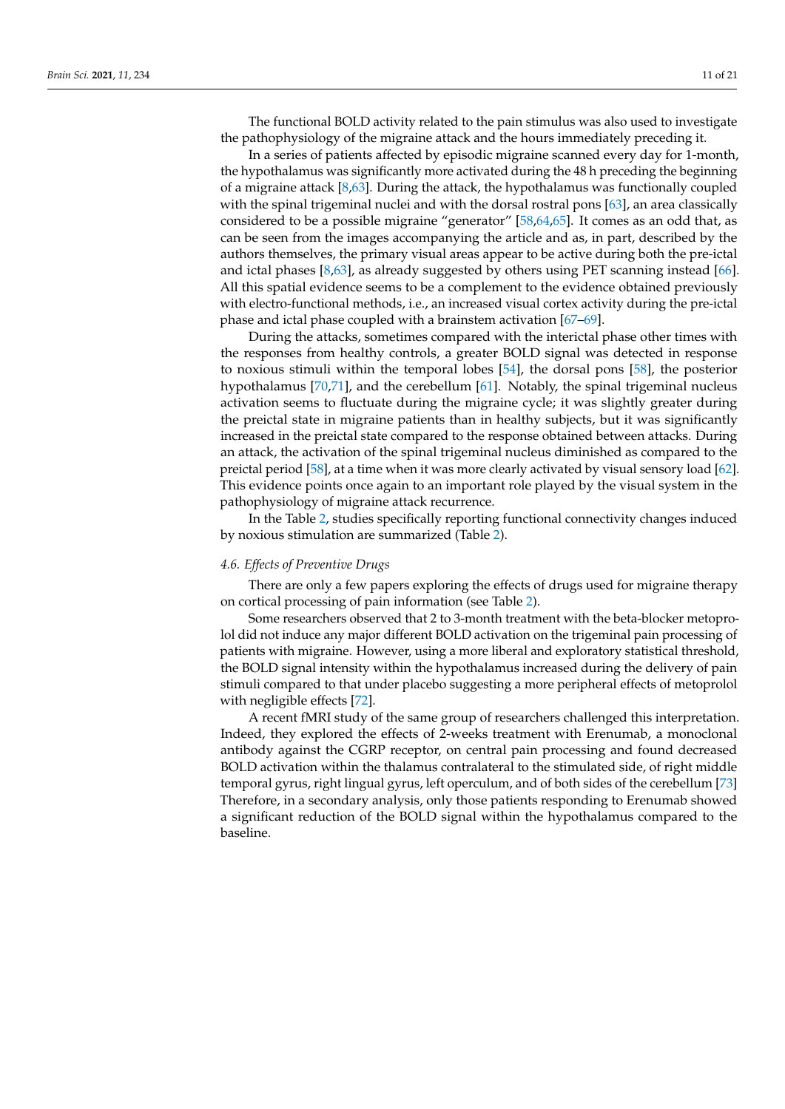The functional BOLD activity related to the pain stimulus was also used to investigate the pathophysiology of the migraine attack and the hours immediately preceding it.

In a series of patients affected by episodic migraine scanned every day for 1-month, the hypothalamus was significantly more activated during the 48 h preceding the beginning of a migraine attack [\[8,](#page-17-7)[63\]](#page-19-9). During the attack, the hypothalamus was functionally coupled with the spinal trigeminal nuclei and with the dorsal rostral pons [\[63\]](#page-19-9), an area classically considered to be a possible migraine "generator" [\[58](#page-19-2)[,64,](#page-19-10)[65\]](#page-19-11). It comes as an odd that, as can be seen from the images accompanying the article and as, in part, described by the authors themselves, the primary visual areas appear to be active during both the pre-ictal and ictal phases [\[8](#page-17-7)[,63\]](#page-19-9), as already suggested by others using PET scanning instead [\[66\]](#page-19-12). All this spatial evidence seems to be a complement to the evidence obtained previously with electro-functional methods, i.e., an increased visual cortex activity during the pre-ictal phase and ictal phase coupled with a brainstem activation [\[67](#page-19-13)[–69\]](#page-19-14).

During the attacks, sometimes compared with the interictal phase other times with the responses from healthy controls, a greater BOLD signal was detected in response to noxious stimuli within the temporal lobes [\[54\]](#page-19-7), the dorsal pons [\[58\]](#page-19-2), the posterior hypothalamus [\[70](#page-19-15)[,71\]](#page-19-16), and the cerebellum [\[61\]](#page-19-5). Notably, the spinal trigeminal nucleus activation seems to fluctuate during the migraine cycle; it was slightly greater during the preictal state in migraine patients than in healthy subjects, but it was significantly increased in the preictal state compared to the response obtained between attacks. During an attack, the activation of the spinal trigeminal nucleus diminished as compared to the preictal period [\[58\]](#page-19-2), at a time when it was more clearly activated by visual sensory load [\[62\]](#page-19-6). This evidence points once again to an important role played by the visual system in the pathophysiology of migraine attack recurrence.

In the Table [2,](#page-11-0) studies specifically reporting functional connectivity changes induced by noxious stimulation are summarized (Table [2\)](#page-11-0).

#### *4.6. Effects of Preventive Drugs*

There are only a few papers exploring the effects of drugs used for migraine therapy on cortical processing of pain information (see Table [2\)](#page-11-0).

Some researchers observed that 2 to 3-month treatment with the beta-blocker metoprolol did not induce any major different BOLD activation on the trigeminal pain processing of patients with migraine. However, using a more liberal and exploratory statistical threshold, the BOLD signal intensity within the hypothalamus increased during the delivery of pain stimuli compared to that under placebo suggesting a more peripheral effects of metoprolol with negligible effects [\[72\]](#page-19-17).

A recent fMRI study of the same group of researchers challenged this interpretation. Indeed, they explored the effects of 2-weeks treatment with Erenumab, a monoclonal antibody against the CGRP receptor, on central pain processing and found decreased BOLD activation within the thalamus contralateral to the stimulated side, of right middle temporal gyrus, right lingual gyrus, left operculum, and of both sides of the cerebellum [\[73\]](#page-19-18) Therefore, in a secondary analysis, only those patients responding to Erenumab showed a significant reduction of the BOLD signal within the hypothalamus compared to the baseline.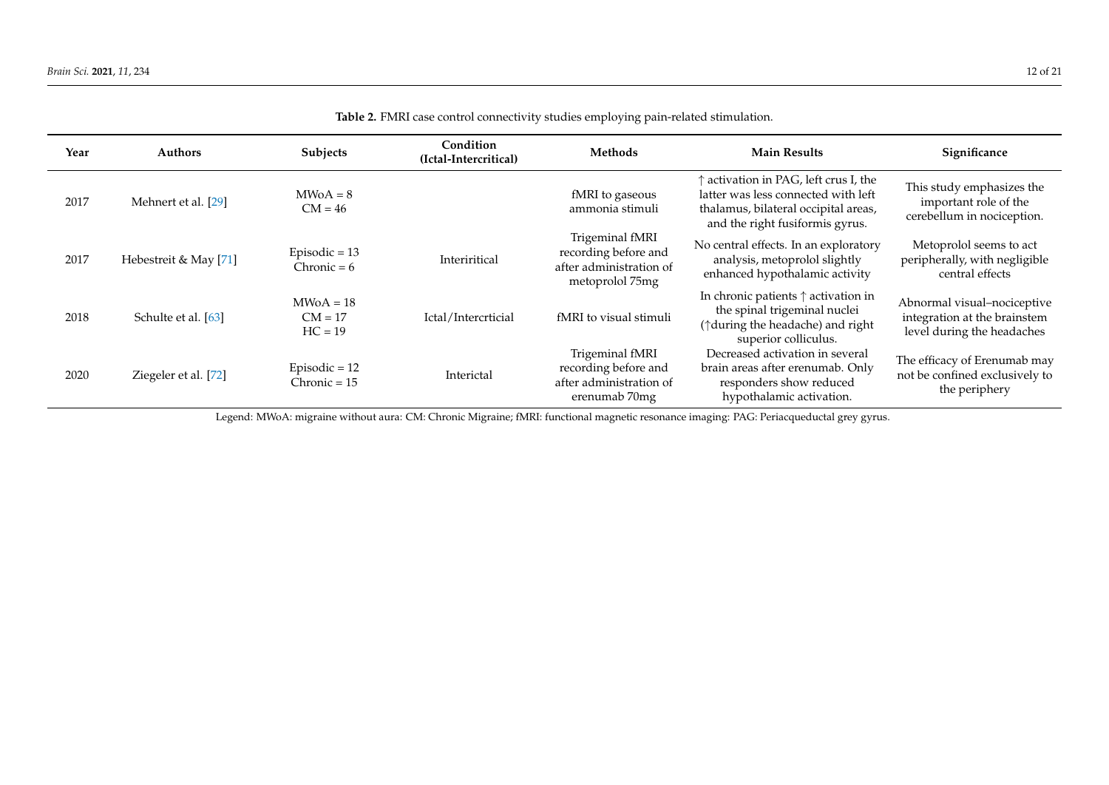| Year | <b>Authors</b>        | Subjects                              | Condition<br>(Ictal-Intercritical) | Methods                                                                               | <b>Main Results</b>                                                                                                                                     | Significance                                                                              |
|------|-----------------------|---------------------------------------|------------------------------------|---------------------------------------------------------------------------------------|---------------------------------------------------------------------------------------------------------------------------------------------------------|-------------------------------------------------------------------------------------------|
| 2017 | Mehnert et al. [29]   | $MWOA = 8$<br>$CM = 46$               |                                    | fMRI to gaseous<br>ammonia stimuli                                                    | ↑ activation in PAG, left crus I, the<br>latter was less connected with left<br>thalamus, bilateral occipital areas,<br>and the right fusiformis gyrus. | This study emphasizes the<br>important role of the<br>cerebellum in nociception.          |
| 2017 | Hebestreit & May [71] | Episodic = $13$<br>$Chronic = 6$      | Interiritical                      | Trigeminal fMRI<br>recording before and<br>after administration of<br>metoprolol 75mg | No central effects. In an exploratory<br>analysis, metoprolol slightly<br>enhanced hypothalamic activity                                                | Metoprolol seems to act<br>peripherally, with negligible<br>central effects               |
| 2018 | Schulte et al. [63]   | $MWOA = 18$<br>$CM = 17$<br>$HC = 19$ | Ictal/Intercrticial                | fMRI to visual stimuli                                                                | In chronic patients $\uparrow$ activation in<br>the spinal trigeminal nuclei<br>(1during the headache) and right<br>superior colliculus.                | Abnormal visual-nociceptive<br>integration at the brainstem<br>level during the headaches |
| 2020 | Ziegeler et al. [72]  | Episodic $= 12$<br>$Chronic = 15$     | Interictal                         | Trigeminal fMRI<br>recording before and<br>after administration of<br>erenumab 70mg   | Decreased activation in several<br>brain areas after erenumab. Only<br>responders show reduced<br>hypothalamic activation.                              | The efficacy of Erenumab may<br>not be confined exclusively to<br>the periphery           |

**Table 2.** FMRI case control connectivity studies employing pain-related stimulation.

<span id="page-11-0"></span>Legend: MWoA: migraine without aura: CM: Chronic Migraine; fMRI: functional magnetic resonance imaging: PAG: Periacqueductal grey gyrus.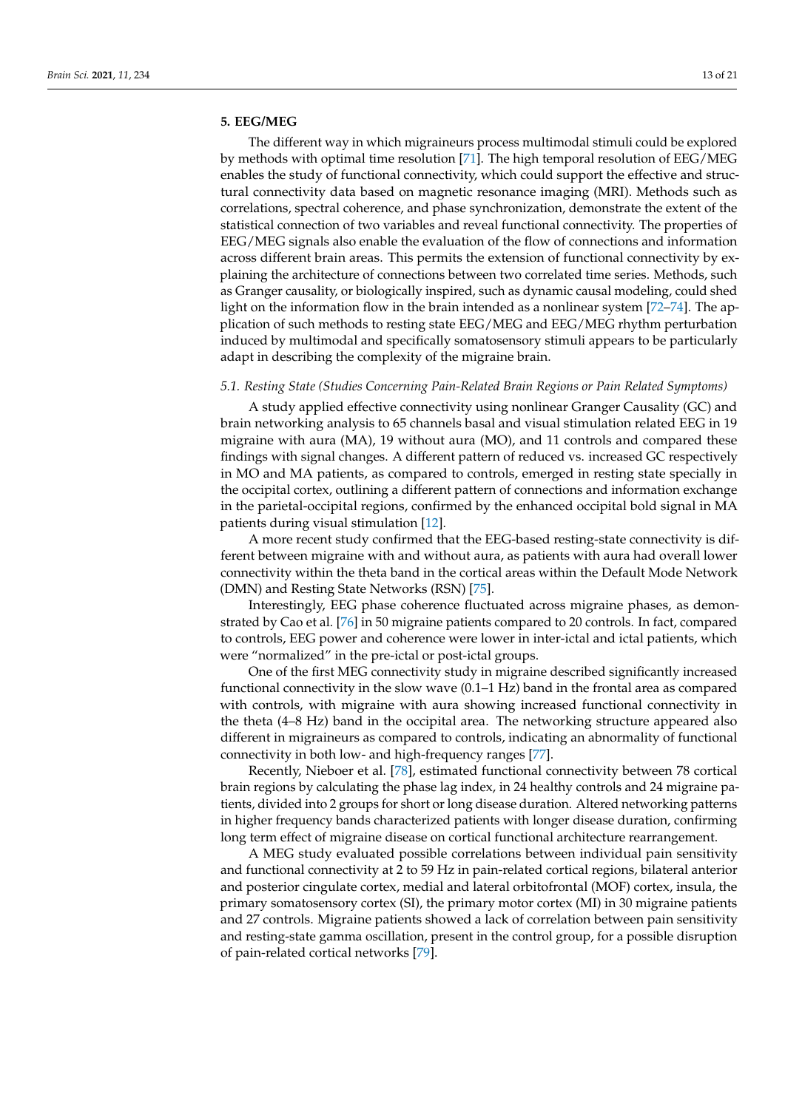## **5. EEG/MEG**

The different way in which migraineurs process multimodal stimuli could be explored by methods with optimal time resolution [\[71\]](#page-19-16). The high temporal resolution of EEG/MEG enables the study of functional connectivity, which could support the effective and structural connectivity data based on magnetic resonance imaging (MRI). Methods such as correlations, spectral coherence, and phase synchronization, demonstrate the extent of the statistical connection of two variables and reveal functional connectivity. The properties of EEG/MEG signals also enable the evaluation of the flow of connections and information across different brain areas. This permits the extension of functional connectivity by explaining the architecture of connections between two correlated time series. Methods, such as Granger causality, or biologically inspired, such as dynamic causal modeling, could shed light on the information flow in the brain intended as a nonlinear system [\[72–](#page-19-17)[74\]](#page-19-22). The application of such methods to resting state EEG/MEG and EEG/MEG rhythm perturbation induced by multimodal and specifically somatosensory stimuli appears to be particularly adapt in describing the complexity of the migraine brain.

#### *5.1. Resting State (Studies Concerning Pain-Related Brain Regions or Pain Related Symptoms)*

A study applied effective connectivity using nonlinear Granger Causality (GC) and brain networking analysis to 65 channels basal and visual stimulation related EEG in 19 migraine with aura (MA), 19 without aura (MO), and 11 controls and compared these findings with signal changes. A different pattern of reduced vs. increased GC respectively in MO and MA patients, as compared to controls, emerged in resting state specially in the occipital cortex, outlining a different pattern of connections and information exchange in the parietal-occipital regions, confirmed by the enhanced occipital bold signal in MA patients during visual stimulation [\[12\]](#page-17-11).

A more recent study confirmed that the EEG-based resting-state connectivity is different between migraine with and without aura, as patients with aura had overall lower connectivity within the theta band in the cortical areas within the Default Mode Network (DMN) and Resting State Networks (RSN) [\[75\]](#page-19-23).

Interestingly, EEG phase coherence fluctuated across migraine phases, as demonstrated by Cao et al. [\[76\]](#page-19-24) in 50 migraine patients compared to 20 controls. In fact, compared to controls, EEG power and coherence were lower in inter-ictal and ictal patients, which were "normalized" in the pre-ictal or post-ictal groups.

One of the first MEG connectivity study in migraine described significantly increased functional connectivity in the slow wave (0.1–1 Hz) band in the frontal area as compared with controls, with migraine with aura showing increased functional connectivity in the theta (4–8 Hz) band in the occipital area. The networking structure appeared also different in migraineurs as compared to controls, indicating an abnormality of functional connectivity in both low- and high-frequency ranges [\[77\]](#page-19-25).

Recently, Nieboer et al. [\[78\]](#page-20-0), estimated functional connectivity between 78 cortical brain regions by calculating the phase lag index, in 24 healthy controls and 24 migraine patients, divided into 2 groups for short or long disease duration. Altered networking patterns in higher frequency bands characterized patients with longer disease duration, confirming long term effect of migraine disease on cortical functional architecture rearrangement.

A MEG study evaluated possible correlations between individual pain sensitivity and functional connectivity at 2 to 59 Hz in pain-related cortical regions, bilateral anterior and posterior cingulate cortex, medial and lateral orbitofrontal (MOF) cortex, insula, the primary somatosensory cortex (SI), the primary motor cortex (MI) in 30 migraine patients and 27 controls. Migraine patients showed a lack of correlation between pain sensitivity and resting-state gamma oscillation, present in the control group, for a possible disruption of pain-related cortical networks [\[79\]](#page-20-1).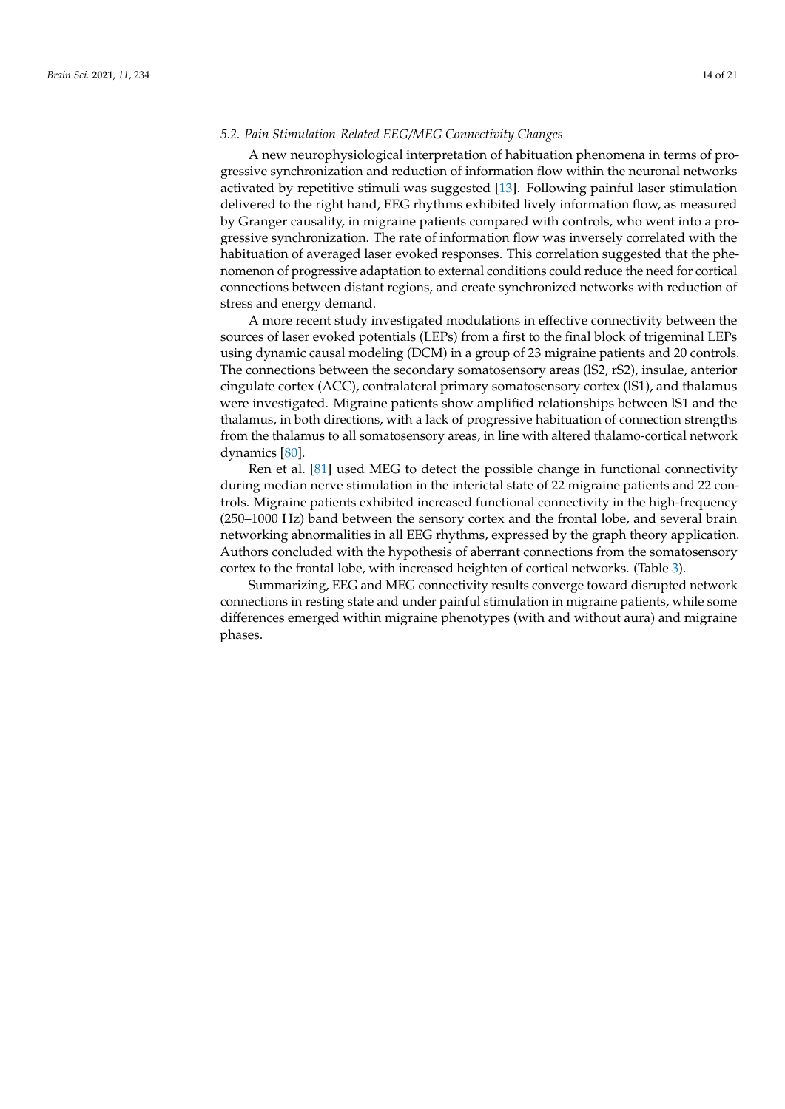# *5.2. Pain Stimulation-Related EEG/MEG Connectivity Changes*

A new neurophysiological interpretation of habituation phenomena in terms of progressive synchronization and reduction of information flow within the neuronal networks activated by repetitive stimuli was suggested [\[13\]](#page-17-12). Following painful laser stimulation delivered to the right hand, EEG rhythms exhibited lively information flow, as measured by Granger causality, in migraine patients compared with controls, who went into a progressive synchronization. The rate of information flow was inversely correlated with the habituation of averaged laser evoked responses. This correlation suggested that the phenomenon of progressive adaptation to external conditions could reduce the need for cortical connections between distant regions, and create synchronized networks with reduction of stress and energy demand.

A more recent study investigated modulations in effective connectivity between the sources of laser evoked potentials (LEPs) from a first to the final block of trigeminal LEPs using dynamic causal modeling (DCM) in a group of 23 migraine patients and 20 controls. The connections between the secondary somatosensory areas (lS2, rS2), insulae, anterior cingulate cortex (ACC), contralateral primary somatosensory cortex (lS1), and thalamus were investigated. Migraine patients show amplified relationships between lS1 and the thalamus, in both directions, with a lack of progressive habituation of connection strengths from the thalamus to all somatosensory areas, in line with altered thalamo-cortical network dynamics [\[80\]](#page-20-2).

Ren et al. [\[81\]](#page-20-3) used MEG to detect the possible change in functional connectivity during median nerve stimulation in the interictal state of 22 migraine patients and 22 controls. Migraine patients exhibited increased functional connectivity in the high-frequency (250–1000 Hz) band between the sensory cortex and the frontal lobe, and several brain networking abnormalities in all EEG rhythms, expressed by the graph theory application. Authors concluded with the hypothesis of aberrant connections from the somatosensory cortex to the frontal lobe, with increased heighten of cortical networks. (Table [3\)](#page-15-0).

Summarizing, EEG and MEG connectivity results converge toward disrupted network connections in resting state and under painful stimulation in migraine patients, while some differences emerged within migraine phenotypes (with and without aura) and migraine phases.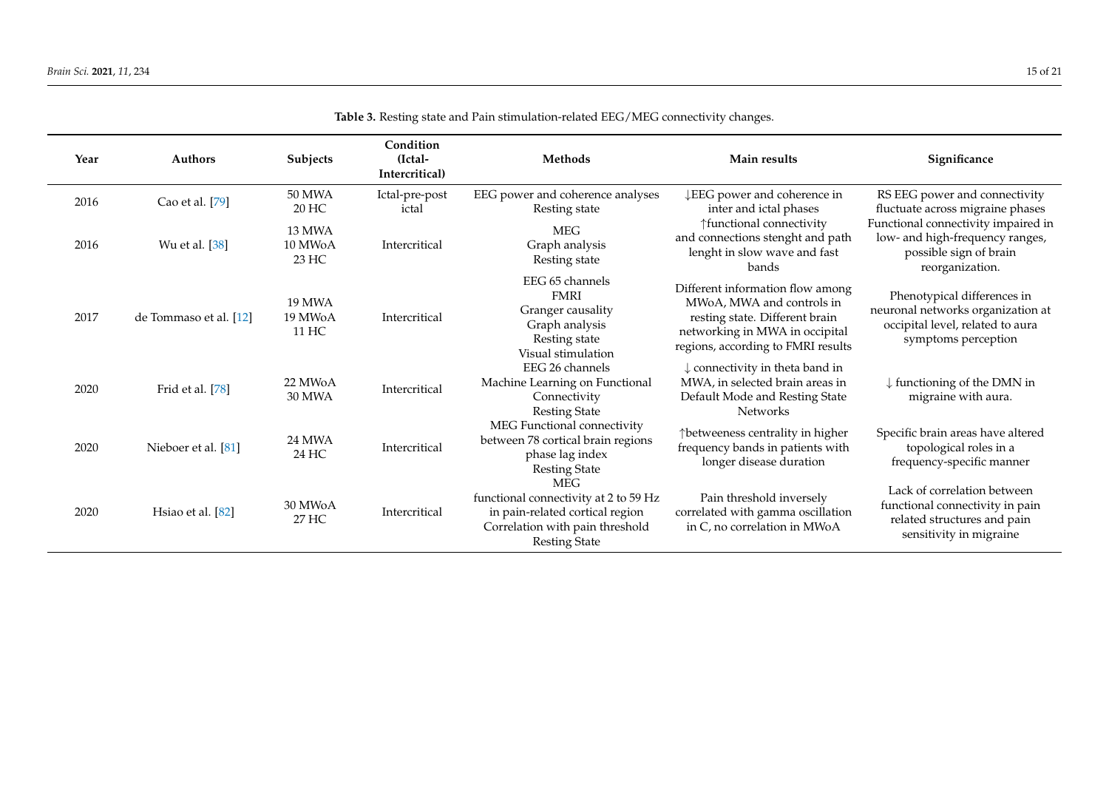| Year | <b>Authors</b>         | Subjects                   | Condition<br>(Ictal-<br>Intercritical) | <b>Methods</b>                                                                                                                                    | Main results                                                                                                                                                            | Significance                                                                                                                |
|------|------------------------|----------------------------|----------------------------------------|---------------------------------------------------------------------------------------------------------------------------------------------------|-------------------------------------------------------------------------------------------------------------------------------------------------------------------------|-----------------------------------------------------------------------------------------------------------------------------|
| 2016 | Cao et al. [79]        | <b>50 MWA</b><br>20 HC     | Ictal-pre-post<br>ictal                | EEG power and coherence analyses<br>Resting state                                                                                                 | ↓EEG power and coherence in<br>inter and ictal phases                                                                                                                   | RS EEG power and connectivity<br>fluctuate across migraine phases                                                           |
| 2016 | Wu et al. [38]         | 13 MWA<br>10 MWoA<br>23 HC | Intercritical                          | <b>MEG</b><br>Graph analysis<br>Resting state                                                                                                     | ↑functional connectivity<br>and connections stenght and path<br>lenght in slow wave and fast<br>bands                                                                   | Functional connectivity impaired in<br>low- and high-frequency ranges,<br>possible sign of brain<br>reorganization.         |
| 2017 | de Tommaso et al. [12] | 19 MWA<br>19 MWoA<br>11 HC | Intercritical                          | EEG 65 channels<br><b>FMRI</b><br>Granger causality<br>Graph analysis<br>Resting state<br>Visual stimulation                                      | Different information flow among<br>MWoA, MWA and controls in<br>resting state. Different brain<br>networking in MWA in occipital<br>regions, according to FMRI results | Phenotypical differences in<br>neuronal networks organization at<br>occipital level, related to aura<br>symptoms perception |
| 2020 | Frid et al. [78]       | 22 MWoA<br><b>30 MWA</b>   | Intercritical                          | EEG 26 channels<br>Machine Learning on Functional<br>Connectivity<br><b>Resting State</b>                                                         | $\downarrow$ connectivity in theta band in<br>MWA, in selected brain areas in<br>Default Mode and Resting State<br><b>Networks</b>                                      | $\downarrow$ functioning of the DMN in<br>migraine with aura.                                                               |
| 2020 | Nieboer et al. [81]    | 24 MWA<br>24 HC            | Intercritical                          | MEG Functional connectivity<br>between 78 cortical brain regions<br>phase lag index<br><b>Resting State</b>                                       | ↑betweeness centrality in higher<br>frequency bands in patients with<br>longer disease duration                                                                         | Specific brain areas have altered<br>topological roles in a<br>frequency-specific manner                                    |
| 2020 | Hsiao et al. [82]      | 30 MWoA<br>27 HC           | Intercritical                          | <b>MEG</b><br>functional connectivity at 2 to 59 Hz<br>in pain-related cortical region<br>Correlation with pain threshold<br><b>Resting State</b> | Pain threshold inversely<br>correlated with gamma oscillation<br>in C, no correlation in MWoA                                                                           | Lack of correlation between<br>functional connectivity in pain<br>related structures and pain<br>sensitivity in migraine    |

**Table 3.** Resting state and Pain stimulation-related EEG/MEG connectivity changes.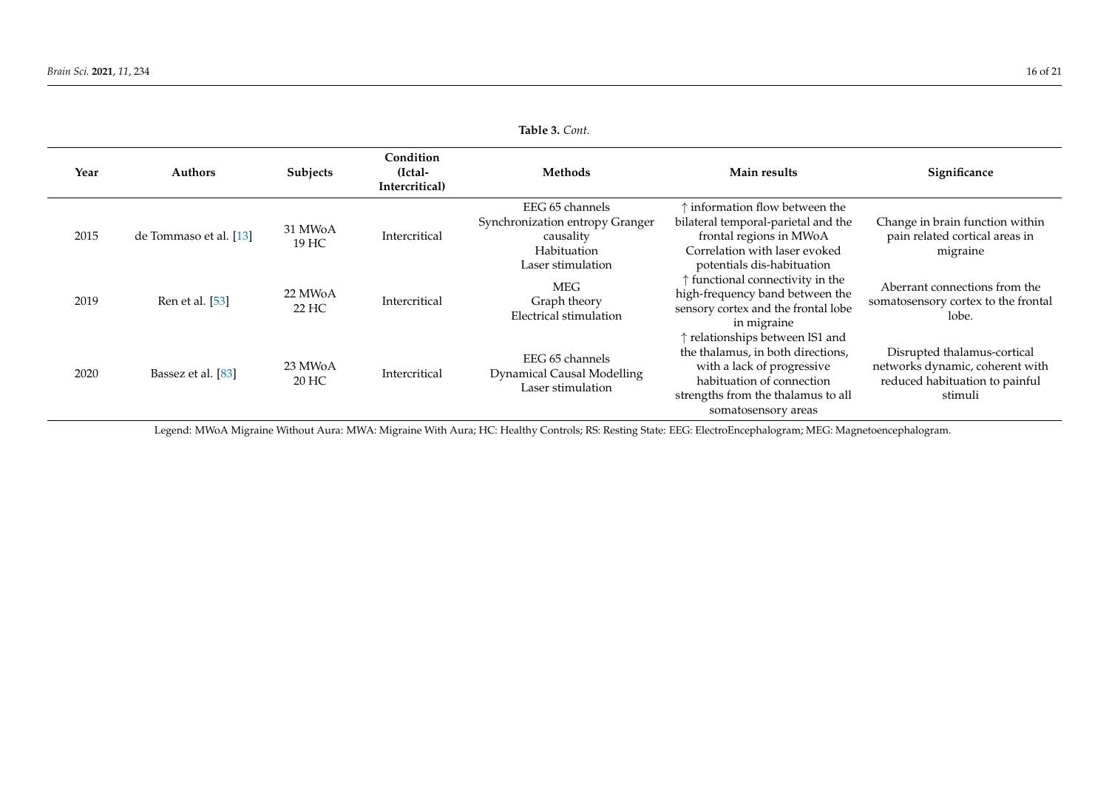|      |                        |                  |                                        | <b>Table 5.</b> Cont.                                                                               |                                                                                                                                                                                                       |                                                                                                             |
|------|------------------------|------------------|----------------------------------------|-----------------------------------------------------------------------------------------------------|-------------------------------------------------------------------------------------------------------------------------------------------------------------------------------------------------------|-------------------------------------------------------------------------------------------------------------|
| Year | Authors                | Subjects         | Condition<br>(Ictal-<br>Intercritical) | Methods                                                                                             | Main results                                                                                                                                                                                          | Significance                                                                                                |
| 2015 | de Tommaso et al. [13] | 31 MWoA<br>19 HC | Intercritical                          | EEG 65 channels<br>Synchronization entropy Granger<br>causality<br>Habituation<br>Laser stimulation | $\uparrow$ information flow between the<br>bilateral temporal-parietal and the<br>frontal regions in MWoA<br>Correlation with laser evoked<br>potentials dis-habituation                              | Change in brain function within<br>pain related cortical areas in<br>migraine                               |
| 2019 | Ren et al. [53]        | 22 MWoA<br>22 HC | Intercritical                          | <b>MEG</b><br>Graph theory<br>Electrical stimulation                                                | $\uparrow$ functional connectivity in the<br>high-frequency band between the<br>sensory cortex and the frontal lobe<br>in migraine                                                                    | Aberrant connections from the<br>somatosensory cortex to the frontal<br>lobe.                               |
| 2020 | Bassez et al. [83]     | 23 MWoA<br>20 HC | Intercritical                          | EEG 65 channels<br><b>Dynamical Causal Modelling</b><br>Laser stimulation                           | $\uparrow$ relationships between IS1 and<br>the thalamus, in both directions,<br>with a lack of progressive<br>habituation of connection<br>strengths from the thalamus to all<br>somatosensory areas | Disrupted thalamus-cortical<br>networks dynamic, coherent with<br>reduced habituation to painful<br>stimuli |

<span id="page-15-0"></span>Legend: MWoA Migraine Without Aura: MWA: Migraine With Aura; HC: Healthy Controls; RS: Resting State: EEG: ElectroEncephalogram; MEG: Magnetoencephalogram.

**Table 3.** *Cont.*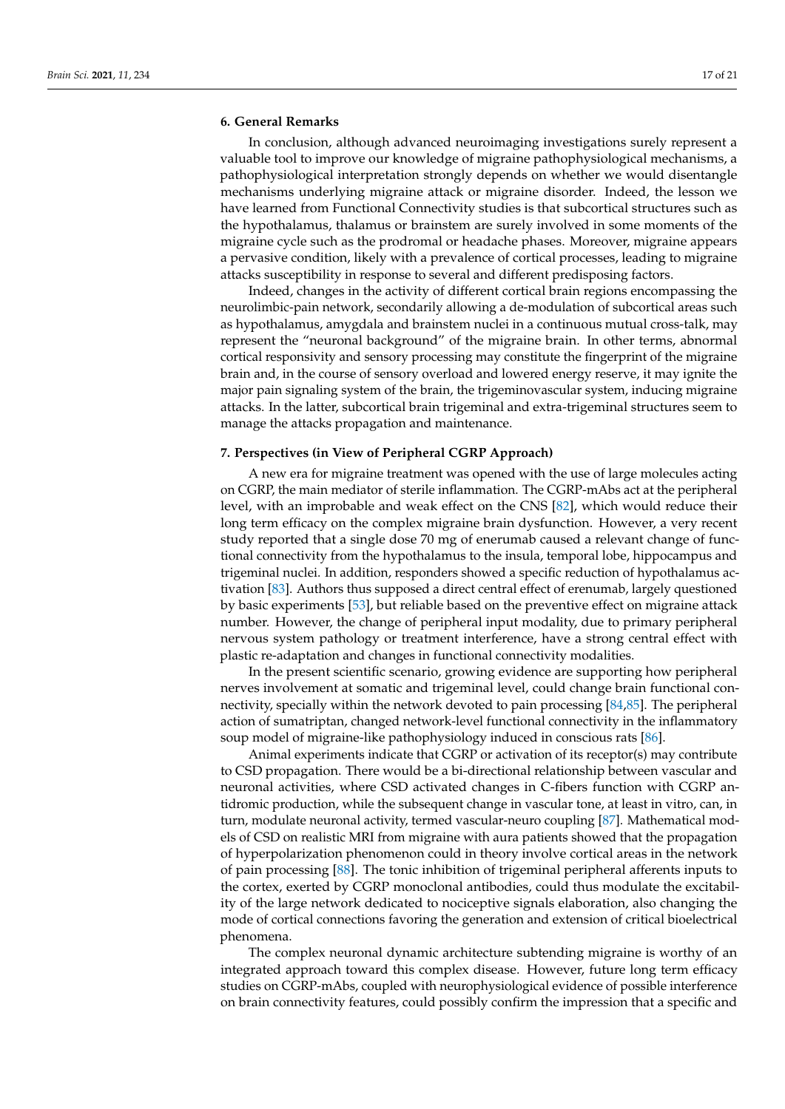# **6. General Remarks**

In conclusion, although advanced neuroimaging investigations surely represent a valuable tool to improve our knowledge of migraine pathophysiological mechanisms, a pathophysiological interpretation strongly depends on whether we would disentangle mechanisms underlying migraine attack or migraine disorder. Indeed, the lesson we have learned from Functional Connectivity studies is that subcortical structures such as the hypothalamus, thalamus or brainstem are surely involved in some moments of the migraine cycle such as the prodromal or headache phases. Moreover, migraine appears a pervasive condition, likely with a prevalence of cortical processes, leading to migraine attacks susceptibility in response to several and different predisposing factors.

Indeed, changes in the activity of different cortical brain regions encompassing the neurolimbic-pain network, secondarily allowing a de-modulation of subcortical areas such as hypothalamus, amygdala and brainstem nuclei in a continuous mutual cross-talk, may represent the "neuronal background" of the migraine brain. In other terms, abnormal cortical responsivity and sensory processing may constitute the fingerprint of the migraine brain and, in the course of sensory overload and lowered energy reserve, it may ignite the major pain signaling system of the brain, the trigeminovascular system, inducing migraine attacks. In the latter, subcortical brain trigeminal and extra-trigeminal structures seem to manage the attacks propagation and maintenance.

#### **7. Perspectives (in View of Peripheral CGRP Approach)**

A new era for migraine treatment was opened with the use of large molecules acting on CGRP, the main mediator of sterile inflammation. The CGRP-mAbs act at the peripheral level, with an improbable and weak effect on the CNS [\[82\]](#page-20-9), which would reduce their long term efficacy on the complex migraine brain dysfunction. However, a very recent study reported that a single dose 70 mg of enerumab caused a relevant change of functional connectivity from the hypothalamus to the insula, temporal lobe, hippocampus and trigeminal nuclei. In addition, responders showed a specific reduction of hypothalamus activation [\[83\]](#page-20-10). Authors thus supposed a direct central effect of erenumab, largely questioned by basic experiments [\[53\]](#page-19-1), but reliable based on the preventive effect on migraine attack number. However, the change of peripheral input modality, due to primary peripheral nervous system pathology or treatment interference, have a strong central effect with plastic re-adaptation and changes in functional connectivity modalities.

In the present scientific scenario, growing evidence are supporting how peripheral nerves involvement at somatic and trigeminal level, could change brain functional connectivity, specially within the network devoted to pain processing [\[84](#page-20-11)[,85\]](#page-20-12). The peripheral action of sumatriptan, changed network-level functional connectivity in the inflammatory soup model of migraine-like pathophysiology induced in conscious rats [\[86\]](#page-20-13).

Animal experiments indicate that CGRP or activation of its receptor(s) may contribute to CSD propagation. There would be a bi-directional relationship between vascular and neuronal activities, where CSD activated changes in C-fibers function with CGRP antidromic production, while the subsequent change in vascular tone, at least in vitro, can, in turn, modulate neuronal activity, termed vascular-neuro coupling [\[87\]](#page-20-14). Mathematical models of CSD on realistic MRI from migraine with aura patients showed that the propagation of hyperpolarization phenomenon could in theory involve cortical areas in the network of pain processing [\[88\]](#page-20-15). The tonic inhibition of trigeminal peripheral afferents inputs to the cortex, exerted by CGRP monoclonal antibodies, could thus modulate the excitability of the large network dedicated to nociceptive signals elaboration, also changing the mode of cortical connections favoring the generation and extension of critical bioelectrical phenomena.

The complex neuronal dynamic architecture subtending migraine is worthy of an integrated approach toward this complex disease. However, future long term efficacy studies on CGRP-mAbs, coupled with neurophysiological evidence of possible interference on brain connectivity features, could possibly confirm the impression that a specific and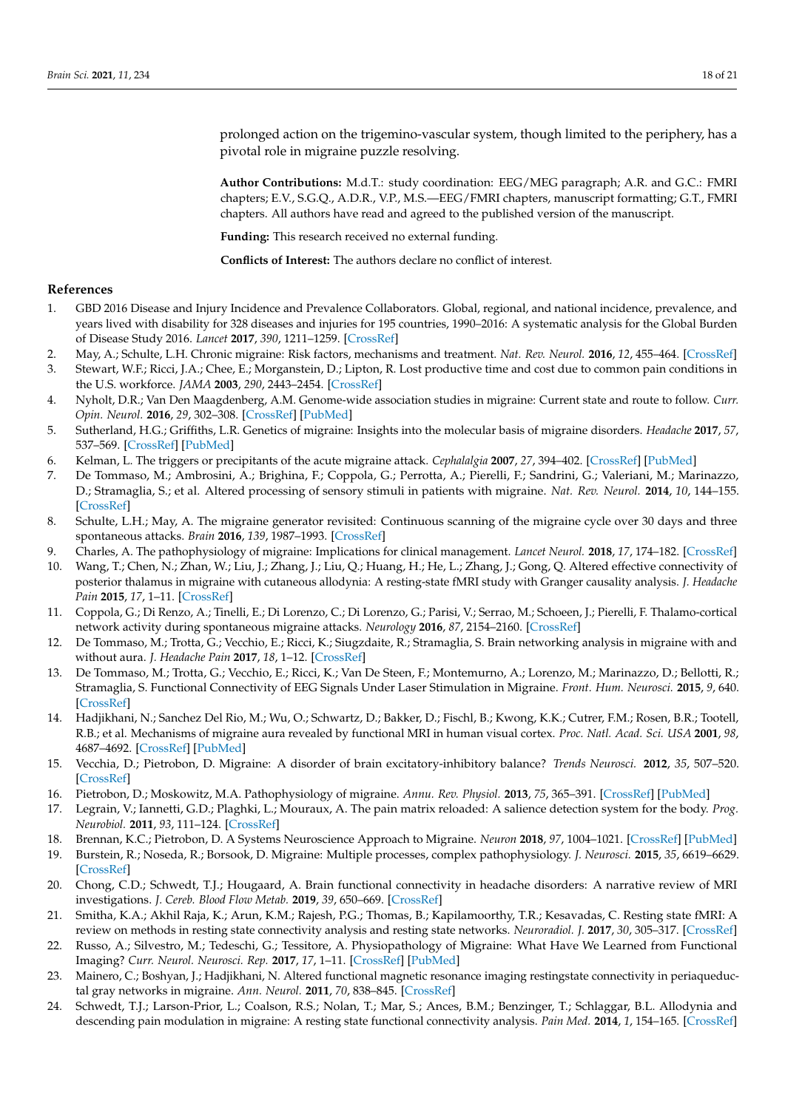prolonged action on the trigemino-vascular system, though limited to the periphery, has a pivotal role in migraine puzzle resolving.

**Author Contributions:** M.d.T.: study coordination: EEG/MEG paragraph; A.R. and G.C.: FMRI chapters; E.V., S.G.Q., A.D.R., V.P., M.S.—EEG/FMRI chapters, manuscript formatting; G.T., FMRI chapters. All authors have read and agreed to the published version of the manuscript.

**Funding:** This research received no external funding.

**Conflicts of Interest:** The authors declare no conflict of interest.

# <span id="page-17-26"></span><span id="page-17-25"></span>**References**

- <span id="page-17-28"></span><span id="page-17-0"></span>1. GBD 2016 Disease and Injury Incidence and Prevalence Collaborators. Global, regional, and national incidence, prevalence, and years lived with disability for 328 diseases and injuries for 195 countries, 1990–2016: A systematic analysis for the Global Burden of Disease Study 2016. *Lancet* **2017**, *390*, 1211–1259. [\[CrossRef\]](http://doi.org/10.1016/S0140-6736(17)32154-2)
- <span id="page-17-27"></span><span id="page-17-1"></span>2. May, A.; Schulte, L.H. Chronic migraine: Risk factors, mechanisms and treatment. *Nat. Rev. Neurol.* **2016**, *12*, 455–464. [\[CrossRef\]](http://doi.org/10.1038/nrneurol.2016.93)
- <span id="page-17-2"></span>3. Stewart, W.F.; Ricci, J.A.; Chee, E.; Morganstein, D.; Lipton, R. Lost productive time and cost due to common pain conditions in the U.S. workforce. *JAMA* **2003**, *290*, 2443–2454. [\[CrossRef\]](http://doi.org/10.1001/jama.290.18.2443)
- <span id="page-17-3"></span>4. Nyholt, D.R.; Van Den Maagdenberg, A.M. Genome-wide association studies in migraine: Current state and route to follow. *Curr. Opin. Neurol.* **2016**, *29*, 302–308. [\[CrossRef\]](http://doi.org/10.1097/WCO.0000000000000316) [\[PubMed\]](http://www.ncbi.nlm.nih.gov/pubmed/26967494)
- <span id="page-17-4"></span>5. Sutherland, H.G.; Griffiths, L.R. Genetics of migraine: Insights into the molecular basis of migraine disorders. *Headache* **2017**, *57*, 537–569. [\[CrossRef\]](http://doi.org/10.1111/head.13053) [\[PubMed\]](http://www.ncbi.nlm.nih.gov/pubmed/28271496)
- <span id="page-17-5"></span>6. Kelman, L. The triggers or precipitants of the acute migraine attack. *Cephalalgia* **2007**, *27*, 394–402. [\[CrossRef\]](http://doi.org/10.1111/j.1468-2982.2007.01303.x) [\[PubMed\]](http://www.ncbi.nlm.nih.gov/pubmed/17403039)
- <span id="page-17-6"></span>7. De Tommaso, M.; Ambrosini, A.; Brighina, F.; Coppola, G.; Perrotta, A.; Pierelli, F.; Sandrini, G.; Valeriani, M.; Marinazzo, D.; Stramaglia, S.; et al. Altered processing of sensory stimuli in patients with migraine. *Nat. Rev. Neurol.* **2014**, *10*, 144–155. [\[CrossRef\]](http://doi.org/10.1038/nrneurol.2014.14)
- <span id="page-17-7"></span>8. Schulte, L.H.; May, A. The migraine generator revisited: Continuous scanning of the migraine cycle over 30 days and three spontaneous attacks. *Brain* **2016**, *139*, 1987–1993. [\[CrossRef\]](http://doi.org/10.1093/brain/aww097)
- <span id="page-17-8"></span>9. Charles, A. The pathophysiology of migraine: Implications for clinical management. *Lancet Neurol.* **2018**, *17*, 174–182. [\[CrossRef\]](http://doi.org/10.1016/S1474-4422(17)30435-0)
- <span id="page-17-9"></span>10. Wang, T.; Chen, N.; Zhan, W.; Liu, J.; Zhang, J.; Liu, Q.; Huang, H.; He, L.; Zhang, J.; Gong, Q. Altered effective connectivity of posterior thalamus in migraine with cutaneous allodynia: A resting-state fMRI study with Granger causality analysis. *J. Headache Pain* **2015**, *17*, 1–11. [\[CrossRef\]](http://doi.org/10.1186/s10194-016-0610-4)
- <span id="page-17-24"></span><span id="page-17-10"></span>11. Coppola, G.; Di Renzo, A.; Tinelli, E.; Di Lorenzo, C.; Di Lorenzo, G.; Parisi, V.; Serrao, M.; Schoeen, J.; Pierelli, F. Thalamo-cortical network activity during spontaneous migraine attacks. *Neurology* **2016**, *87*, 2154–2160. [\[CrossRef\]](http://doi.org/10.1212/WNL.0000000000003327)
- <span id="page-17-11"></span>12. De Tommaso, M.; Trotta, G.; Vecchio, E.; Ricci, K.; Siugzdaite, R.; Stramaglia, S. Brain networking analysis in migraine with and without aura. *J. Headache Pain* **2017**, *18*, 1–12. [\[CrossRef\]](http://doi.org/10.1186/s10194-017-0803-5)
- <span id="page-17-12"></span>13. De Tommaso, M.; Trotta, G.; Vecchio, E.; Ricci, K.; Van De Steen, F.; Montemurno, A.; Lorenzo, M.; Marinazzo, D.; Bellotti, R.; Stramaglia, S. Functional Connectivity of EEG Signals Under Laser Stimulation in Migraine. *Front. Hum. Neurosci.* **2015**, *9*, 640. [\[CrossRef\]](http://doi.org/10.3389/fnhum.2015.00640)
- <span id="page-17-13"></span>14. Hadjikhani, N.; Sanchez Del Rio, M.; Wu, O.; Schwartz, D.; Bakker, D.; Fischl, B.; Kwong, K.K.; Cutrer, F.M.; Rosen, B.R.; Tootell, R.B.; et al. Mechanisms of migraine aura revealed by functional MRI in human visual cortex. *Proc. Natl. Acad. Sci. USA* **2001**, *98*, 4687–4692. [\[CrossRef\]](http://doi.org/10.1073/pnas.071582498) [\[PubMed\]](http://www.ncbi.nlm.nih.gov/pubmed/11287655)
- <span id="page-17-14"></span>15. Vecchia, D.; Pietrobon, D. Migraine: A disorder of brain excitatory-inhibitory balance? *Trends Neurosci.* **2012**, *35*, 507–520. [\[CrossRef\]](http://doi.org/10.1016/j.tins.2012.04.007)
- <span id="page-17-15"></span>16. Pietrobon, D.; Moskowitz, M.A. Pathophysiology of migraine. *Annu. Rev. Physiol.* **2013**, *75*, 365–391. [\[CrossRef\]](http://doi.org/10.1146/annurev-physiol-030212-183717) [\[PubMed\]](http://www.ncbi.nlm.nih.gov/pubmed/23190076)
- <span id="page-17-16"></span>17. Legrain, V.; Iannetti, G.D.; Plaghki, L.; Mouraux, A. The pain matrix reloaded: A salience detection system for the body. *Prog. Neurobiol.* **2011**, *93*, 111–124. [\[CrossRef\]](http://doi.org/10.1016/j.pneurobio.2010.10.005)
- <span id="page-17-17"></span>18. Brennan, K.C.; Pietrobon, D. A Systems Neuroscience Approach to Migraine. *Neuron* **2018**, *97*, 1004–1021. [\[CrossRef\]](http://doi.org/10.1016/j.neuron.2018.01.029) [\[PubMed\]](http://www.ncbi.nlm.nih.gov/pubmed/29518355)
- <span id="page-17-18"></span>19. Burstein, R.; Noseda, R.; Borsook, D. Migraine: Multiple processes, complex pathophysiology. *J. Neurosci.* **2015**, *35*, 6619–6629. [\[CrossRef\]](http://doi.org/10.1523/JNEUROSCI.0373-15.2015)
- <span id="page-17-19"></span>20. Chong, C.D.; Schwedt, T.J.; Hougaard, A. Brain functional connectivity in headache disorders: A narrative review of MRI investigations. *J. Cereb. Blood Flow Metab.* **2019**, *39*, 650–669. [\[CrossRef\]](http://doi.org/10.1177/0271678X17740794)
- <span id="page-17-20"></span>21. Smitha, K.A.; Akhil Raja, K.; Arun, K.M.; Rajesh, P.G.; Thomas, B.; Kapilamoorthy, T.R.; Kesavadas, C. Resting state fMRI: A review on methods in resting state connectivity analysis and resting state networks. *Neuroradiol. J.* **2017**, *30*, 305–317. [\[CrossRef\]](http://doi.org/10.1177/1971400917697342)
- <span id="page-17-21"></span>22. Russo, A.; Silvestro, M.; Tedeschi, G.; Tessitore, A. Physiopathology of Migraine: What Have We Learned from Functional Imaging? *Curr. Neurol. Neurosci. Rep.* **2017**, *17*, 1–11. [\[CrossRef\]](http://doi.org/10.1007/s11910-017-0803-5) [\[PubMed\]](http://www.ncbi.nlm.nih.gov/pubmed/29063211)
- <span id="page-17-22"></span>23. Mainero, C.; Boshyan, J.; Hadjikhani, N. Altered functional magnetic resonance imaging restingstate connectivity in periaqueductal gray networks in migraine. *Ann. Neurol.* **2011**, *70*, 838–845. [\[CrossRef\]](http://doi.org/10.1002/ana.22537)
- <span id="page-17-23"></span>24. Schwedt, T.J.; Larson-Prior, L.; Coalson, R.S.; Nolan, T.; Mar, S.; Ances, B.M.; Benzinger, T.; Schlaggar, B.L. Allodynia and descending pain modulation in migraine: A resting state functional connectivity analysis. *Pain Med.* **2014**, *1*, 154–165. [\[CrossRef\]](http://doi.org/10.1111/pme.12267)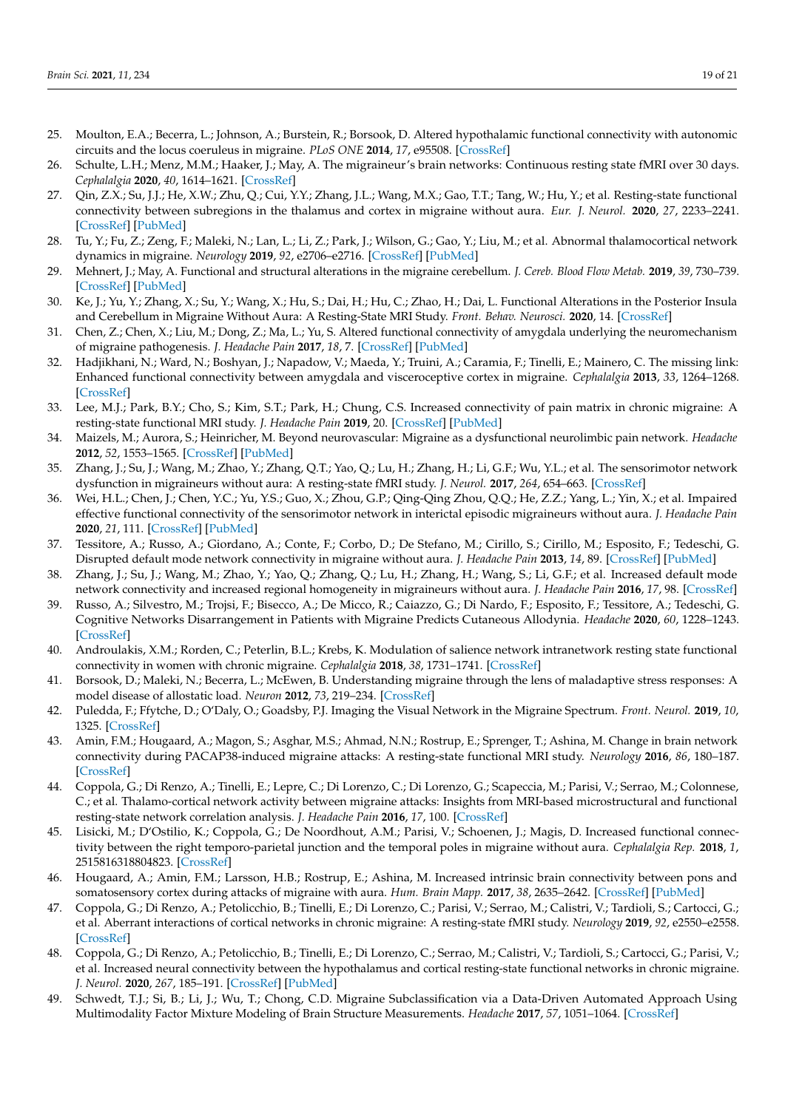- <span id="page-18-38"></span><span id="page-18-37"></span><span id="page-18-33"></span><span id="page-18-32"></span><span id="page-18-30"></span><span id="page-18-28"></span><span id="page-18-27"></span><span id="page-18-25"></span><span id="page-18-0"></span>25. Moulton, E.A.; Becerra, L.; Johnson, A.; Burstein, R.; Borsook, D. Altered hypothalamic functional connectivity with autonomic circuits and the locus coeruleus in migraine. *PLoS ONE* **2014**, *17*, e95508. [\[CrossRef\]](http://doi.org/10.1371/journal.pone.0095508)
- <span id="page-18-36"></span><span id="page-18-1"></span>26. Schulte, L.H.; Menz, M.M.; Haaker, J.; May, A. The migraineur's brain networks: Continuous resting state fMRI over 30 days. *Cephalalgia* **2020**, *40*, 1614–1621. [\[CrossRef\]](http://doi.org/10.1177/0333102420951465)
- <span id="page-18-2"></span>27. Qin, Z.X.; Su, J.J.; He, X.W.; Zhu, Q.; Cui, Y.Y.; Zhang, J.L.; Wang, M.X.; Gao, T.T.; Tang, W.; Hu, Y.; et al. Resting-state functional connectivity between subregions in the thalamus and cortex in migraine without aura. *Eur. J. Neurol.* **2020**, *27*, 2233–2241. [\[CrossRef\]](http://doi.org/10.1111/ene.14411) [\[PubMed\]](http://www.ncbi.nlm.nih.gov/pubmed/32562320)
- <span id="page-18-29"></span><span id="page-18-3"></span>28. Tu, Y.; Fu, Z.; Zeng, F.; Maleki, N.; Lan, L.; Li, Z.; Park, J.; Wilson, G.; Gao, Y.; Liu, M.; et al. Abnormal thalamocortical network dynamics in migraine. *Neurology* **2019**, *92*, e2706–e2716. [\[CrossRef\]](http://doi.org/10.1212/WNL.0000000000007607) [\[PubMed\]](http://www.ncbi.nlm.nih.gov/pubmed/31076535)
- <span id="page-18-4"></span>29. Mehnert, J.; May, A. Functional and structural alterations in the migraine cerebellum. *J. Cereb. Blood Flow Metab.* **2019**, *39*, 730–739. [\[CrossRef\]](http://doi.org/10.1177/0271678X17722109) [\[PubMed\]](http://www.ncbi.nlm.nih.gov/pubmed/28737061)
- <span id="page-18-5"></span>30. Ke, J.; Yu, Y.; Zhang, X.; Su, Y.; Wang, X.; Hu, S.; Dai, H.; Hu, C.; Zhao, H.; Dai, L. Functional Alterations in the Posterior Insula and Cerebellum in Migraine Without Aura: A Resting-State MRI Study. *Front. Behav. Neurosci.* **2020**, 14. [\[CrossRef\]](http://doi.org/10.3389/fnbeh.2020.567588)
- <span id="page-18-31"></span><span id="page-18-6"></span>31. Chen, Z.; Chen, X.; Liu, M.; Dong, Z.; Ma, L.; Yu, S. Altered functional connectivity of amygdala underlying the neuromechanism of migraine pathogenesis. *J. Headache Pain* **2017**, *18*, 7. [\[CrossRef\]](http://doi.org/10.1186/s10194-017-0722-5) [\[PubMed\]](http://www.ncbi.nlm.nih.gov/pubmed/28116559)
- <span id="page-18-7"></span>32. Hadjikhani, N.; Ward, N.; Boshyan, J.; Napadow, V.; Maeda, Y.; Truini, A.; Caramia, F.; Tinelli, E.; Mainero, C. The missing link: Enhanced functional connectivity between amygdala and visceroceptive cortex in migraine. *Cephalalgia* **2013**, *33*, 1264–1268. [\[CrossRef\]](http://doi.org/10.1177/0333102413490344)
- <span id="page-18-26"></span><span id="page-18-8"></span>33. Lee, M.J.; Park, B.Y.; Cho, S.; Kim, S.T.; Park, H.; Chung, C.S. Increased connectivity of pain matrix in chronic migraine: A resting-state functional MRI study. *J. Headache Pain* **2019**, 20. [\[CrossRef\]](http://doi.org/10.1186/s10194-019-0986-z) [\[PubMed\]](http://www.ncbi.nlm.nih.gov/pubmed/30909865)
- <span id="page-18-9"></span>34. Maizels, M.; Aurora, S.; Heinricher, M. Beyond neurovascular: Migraine as a dysfunctional neurolimbic pain network. *Headache* **2012**, *52*, 1553–1565. [\[CrossRef\]](http://doi.org/10.1111/j.1526-4610.2012.02209.x) [\[PubMed\]](http://www.ncbi.nlm.nih.gov/pubmed/22757613)
- <span id="page-18-10"></span>35. Zhang, J.; Su, J.; Wang, M.; Zhao, Y.; Zhang, Q.T.; Yao, Q.; Lu, H.; Zhang, H.; Li, G.F.; Wu, Y.L.; et al. The sensorimotor network dysfunction in migraineurs without aura: A resting-state fMRI study. *J. Neurol.* **2017**, *264*, 654–663. [\[CrossRef\]](http://doi.org/10.1007/s00415-017-8404-4)
- <span id="page-18-11"></span>36. Wei, H.L.; Chen, J.; Chen, Y.C.; Yu, Y.S.; Guo, X.; Zhou, G.P.; Qing-Qing Zhou, Q.Q.; He, Z.Z.; Yang, L.; Yin, X.; et al. Impaired effective functional connectivity of the sensorimotor network in interictal episodic migraineurs without aura. *J. Headache Pain* **2020**, *21*, 111. [\[CrossRef\]](http://doi.org/10.1186/s10194-020-01176-5) [\[PubMed\]](http://www.ncbi.nlm.nih.gov/pubmed/32928098)
- <span id="page-18-12"></span>37. Tessitore, A.; Russo, A.; Giordano, A.; Conte, F.; Corbo, D.; De Stefano, M.; Cirillo, S.; Cirillo, M.; Esposito, F.; Tedeschi, G. Disrupted default mode network connectivity in migraine without aura. *J. Headache Pain* **2013**, *14*, 89. [\[CrossRef\]](http://doi.org/10.1186/1129-2377-14-89) [\[PubMed\]](http://www.ncbi.nlm.nih.gov/pubmed/24207164)
- <span id="page-18-34"></span><span id="page-18-13"></span>38. Zhang, J.; Su, J.; Wang, M.; Zhao, Y.; Yao, Q.; Zhang, Q.; Lu, H.; Zhang, H.; Wang, S.; Li, G.F.; et al. Increased default mode network connectivity and increased regional homogeneity in migraineurs without aura. *J. Headache Pain* **2016**, *17*, 98. [\[CrossRef\]](http://doi.org/10.1186/s10194-016-0692-z)
- <span id="page-18-35"></span><span id="page-18-14"></span>39. Russo, A.; Silvestro, M.; Trojsi, F.; Bisecco, A.; De Micco, R.; Caiazzo, G.; Di Nardo, F.; Esposito, F.; Tessitore, A.; Tedeschi, G. Cognitive Networks Disarrangement in Patients with Migraine Predicts Cutaneous Allodynia. *Headache* **2020**, *60*, 1228–1243. [\[CrossRef\]](http://doi.org/10.1111/head.13860)
- <span id="page-18-15"></span>40. Androulakis, X.M.; Rorden, C.; Peterlin, B.L.; Krebs, K. Modulation of salience network intranetwork resting state functional connectivity in women with chronic migraine. *Cephalalgia* **2018**, *38*, 1731–1741. [\[CrossRef\]](http://doi.org/10.1177/0333102417748570)
- <span id="page-18-16"></span>41. Borsook, D.; Maleki, N.; Becerra, L.; McEwen, B. Understanding migraine through the lens of maladaptive stress responses: A model disease of allostatic load. *Neuron* **2012**, *73*, 219–234. [\[CrossRef\]](http://doi.org/10.1016/j.neuron.2012.01.001)
- <span id="page-18-17"></span>42. Puledda, F.; Ffytche, D.; O'Daly, O.; Goadsby, P.J. Imaging the Visual Network in the Migraine Spectrum. *Front. Neurol.* **2019**, *10*, 1325. [\[CrossRef\]](http://doi.org/10.3389/fneur.2019.01325)
- <span id="page-18-18"></span>43. Amin, F.M.; Hougaard, A.; Magon, S.; Asghar, M.S.; Ahmad, N.N.; Rostrup, E.; Sprenger, T.; Ashina, M. Change in brain network connectivity during PACAP38-induced migraine attacks: A resting-state functional MRI study. *Neurology* **2016**, *86*, 180–187. [\[CrossRef\]](http://doi.org/10.1212/WNL.0000000000002261)
- <span id="page-18-19"></span>44. Coppola, G.; Di Renzo, A.; Tinelli, E.; Lepre, C.; Di Lorenzo, C.; Di Lorenzo, G.; Scapeccia, M.; Parisi, V.; Serrao, M.; Colonnese, C.; et al. Thalamo-cortical network activity between migraine attacks: Insights from MRI-based microstructural and functional resting-state network correlation analysis. *J. Headache Pain* **2016**, *17*, 100. [\[CrossRef\]](http://doi.org/10.1186/s10194-016-0693-y)
- <span id="page-18-20"></span>45. Lisicki, M.; D'Ostilio, K.; Coppola, G.; De Noordhout, A.M.; Parisi, V.; Schoenen, J.; Magis, D. Increased functional connectivity between the right temporo-parietal junction and the temporal poles in migraine without aura. *Cephalalgia Rep.* **2018**, *1*, 2515816318804823. [\[CrossRef\]](http://doi.org/10.1177/2515816318804823)
- <span id="page-18-21"></span>46. Hougaard, A.; Amin, F.M.; Larsson, H.B.; Rostrup, E.; Ashina, M. Increased intrinsic brain connectivity between pons and somatosensory cortex during attacks of migraine with aura. *Hum. Brain Mapp.* **2017**, *38*, 2635–2642. [\[CrossRef\]](http://doi.org/10.1002/hbm.23548) [\[PubMed\]](http://www.ncbi.nlm.nih.gov/pubmed/28240389)
- <span id="page-18-22"></span>47. Coppola, G.; Di Renzo, A.; Petolicchio, B.; Tinelli, E.; Di Lorenzo, C.; Parisi, V.; Serrao, M.; Calistri, V.; Tardioli, S.; Cartocci, G.; et al. Aberrant interactions of cortical networks in chronic migraine: A resting-state fMRI study. *Neurology* **2019**, *92*, e2550–e2558. [\[CrossRef\]](http://doi.org/10.1212/WNL.0000000000007577)
- <span id="page-18-23"></span>48. Coppola, G.; Di Renzo, A.; Petolicchio, B.; Tinelli, E.; Di Lorenzo, C.; Serrao, M.; Calistri, V.; Tardioli, S.; Cartocci, G.; Parisi, V.; et al. Increased neural connectivity between the hypothalamus and cortical resting-state functional networks in chronic migraine. *J. Neurol.* **2020**, *267*, 185–191. [\[CrossRef\]](http://doi.org/10.1007/s00415-019-09571-y) [\[PubMed\]](http://www.ncbi.nlm.nih.gov/pubmed/31606759)
- <span id="page-18-24"></span>49. Schwedt, T.J.; Si, B.; Li, J.; Wu, T.; Chong, C.D. Migraine Subclassification via a Data-Driven Automated Approach Using Multimodality Factor Mixture Modeling of Brain Structure Measurements. *Headache* **2017**, *57*, 1051–1064. [\[CrossRef\]](http://doi.org/10.1111/head.13121)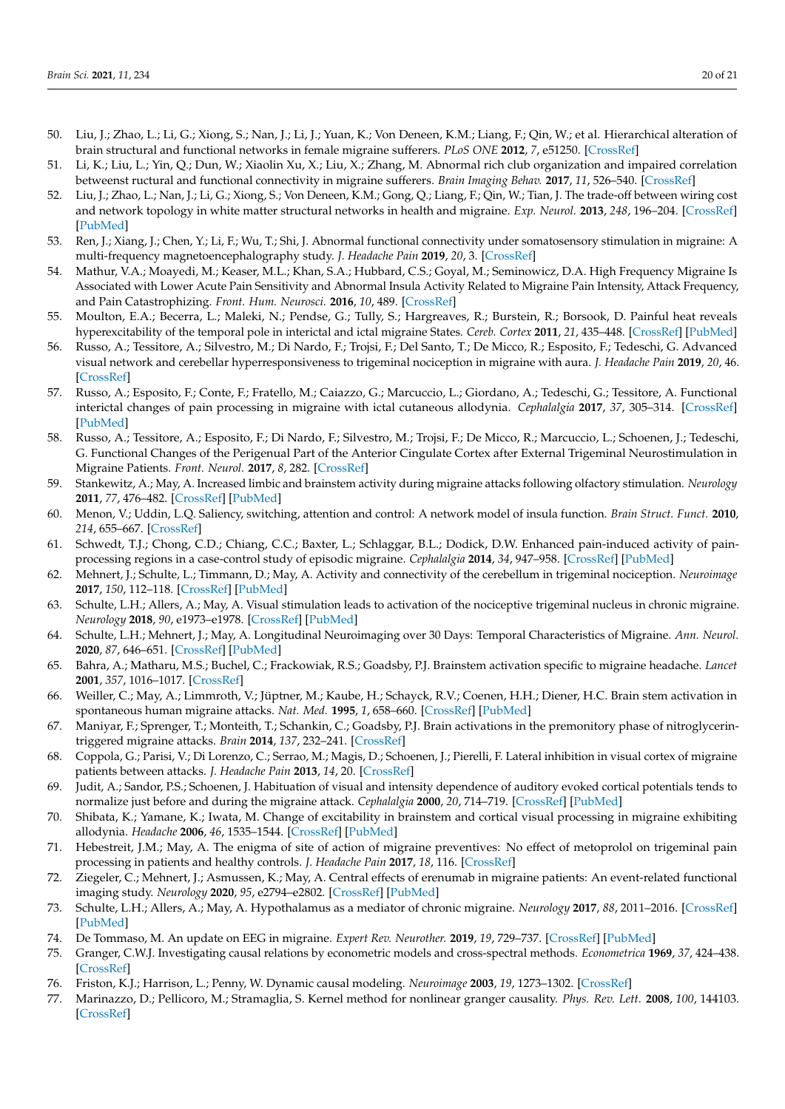- <span id="page-19-26"></span>50. Liu, J.; Zhao, L.; Li, G.; Xiong, S.; Nan, J.; Li, J.; Yuan, K.; Von Deneen, K.M.; Liang, F.; Qin, W.; et al. Hierarchical alteration of brain structural and functional networks in female migraine sufferers. *PLoS ONE* **2012**, *7*, e51250. [\[CrossRef\]](http://doi.org/10.1371/journal.pone.0051250)
- 51. Li, K.; Liu, L.; Yin, Q.; Dun, W.; Xiaolin Xu, X.; Liu, X.; Zhang, M. Abnormal rich club organization and impaired correlation betweenst ructural and functional connectivity in migraine sufferers. *Brain Imaging Behav.* **2017**, *11*, 526–540. [\[CrossRef\]](http://doi.org/10.1007/s11682-016-9533-6)
- <span id="page-19-0"></span>52. Liu, J.; Zhao, L.; Nan, J.; Li, G.; Xiong, S.; Von Deneen, K.M.; Gong, Q.; Liang, F.; Qin, W.; Tian, J. The trade-off between wiring cost and network topology in white matter structural networks in health and migraine. *Exp. Neurol.* **2013**, *248*, 196–204. [\[CrossRef\]](http://doi.org/10.1016/j.expneurol.2013.04.012) [\[PubMed\]](http://www.ncbi.nlm.nih.gov/pubmed/23648629)
- <span id="page-19-1"></span>53. Ren, J.; Xiang, J.; Chen, Y.; Li, F.; Wu, T.; Shi, J. Abnormal functional connectivity under somatosensory stimulation in migraine: A multi-frequency magnetoencephalography study. *J. Headache Pain* **2019**, *20*, 3. [\[CrossRef\]](http://doi.org/10.1186/s10194-019-0958-3)
- <span id="page-19-20"></span><span id="page-19-7"></span>54. Mathur, V.A.; Moayedi, M.; Keaser, M.L.; Khan, S.A.; Hubbard, C.S.; Goyal, M.; Seminowicz, D.A. High Frequency Migraine Is Associated with Lower Acute Pain Sensitivity and Abnormal Insula Activity Related to Migraine Pain Intensity, Attack Frequency, and Pain Catastrophizing. *Front. Hum. Neurosci.* **2016**, *10*, 489. [\[CrossRef\]](http://doi.org/10.3389/fnhum.2016.00489)
- <span id="page-19-8"></span>55. Moulton, E.A.; Becerra, L.; Maleki, N.; Pendse, G.; Tully, S.; Hargreaves, R.; Burstein, R.; Borsook, D. Painful heat reveals hyperexcitability of the temporal pole in interictal and ictal migraine States. *Cereb. Cortex* **2011**, *21*, 435–448. [\[CrossRef\]](http://doi.org/10.1093/cercor/bhq109) [\[PubMed\]](http://www.ncbi.nlm.nih.gov/pubmed/20562317)
- 56. Russo, A.; Tessitore, A.; Silvestro, M.; Di Nardo, F.; Trojsi, F.; Del Santo, T.; De Micco, R.; Esposito, F.; Tedeschi, G. Advanced visual network and cerebellar hyperresponsiveness to trigeminal nociception in migraine with aura. *J. Headache Pain* **2019**, *20*, 46. [\[CrossRef\]](http://doi.org/10.1186/s10194-019-1002-3)
- 57. Russo, A.; Esposito, F.; Conte, F.; Fratello, M.; Caiazzo, G.; Marcuccio, L.; Giordano, A.; Tedeschi, G.; Tessitore, A. Functional interictal changes of pain processing in migraine with ictal cutaneous allodynia. *Cephalalgia* **2017**, *37*, 305–314. [\[CrossRef\]](http://doi.org/10.1177/0333102416644969) [\[PubMed\]](http://www.ncbi.nlm.nih.gov/pubmed/27084886)
- <span id="page-19-2"></span>58. Russo, A.; Tessitore, A.; Esposito, F.; Di Nardo, F.; Silvestro, M.; Trojsi, F.; De Micco, R.; Marcuccio, L.; Schoenen, J.; Tedeschi, G. Functional Changes of the Perigenual Part of the Anterior Cingulate Cortex after External Trigeminal Neurostimulation in Migraine Patients. *Front. Neurol.* **2017**, *8*, 282. [\[CrossRef\]](http://doi.org/10.3389/fneur.2017.00282)
- <span id="page-19-3"></span>59. Stankewitz, A.; May, A. Increased limbic and brainstem activity during migraine attacks following olfactory stimulation. *Neurology* **2011**, *77*, 476–482. [\[CrossRef\]](http://doi.org/10.1212/WNL.0b013e318227e4a8) [\[PubMed\]](http://www.ncbi.nlm.nih.gov/pubmed/21775739)
- <span id="page-19-19"></span><span id="page-19-4"></span>60. Menon, V.; Uddin, L.Q. Saliency, switching, attention and control: A network model of insula function. *Brain Struct. Funct.* **2010**, *214*, 655–667. [\[CrossRef\]](http://doi.org/10.1007/s00429-010-0262-0)
- <span id="page-19-21"></span><span id="page-19-5"></span>61. Schwedt, T.J.; Chong, C.D.; Chiang, C.C.; Baxter, L.; Schlaggar, B.L.; Dodick, D.W. Enhanced pain-induced activity of painprocessing regions in a case-control study of episodic migraine. *Cephalalgia* **2014**, *34*, 947–958. [\[CrossRef\]](http://doi.org/10.1177/0333102414526069) [\[PubMed\]](http://www.ncbi.nlm.nih.gov/pubmed/24627432)
- <span id="page-19-6"></span>62. Mehnert, J.; Schulte, L.; Timmann, D.; May, A. Activity and connectivity of the cerebellum in trigeminal nociception. *Neuroimage* **2017**, *150*, 112–118. [\[CrossRef\]](http://doi.org/10.1016/j.neuroimage.2017.02.023) [\[PubMed\]](http://www.ncbi.nlm.nih.gov/pubmed/28192274)
- <span id="page-19-9"></span>63. Schulte, L.H.; Allers, A.; May, A. Visual stimulation leads to activation of the nociceptive trigeminal nucleus in chronic migraine. *Neurology* **2018**, *90*, e1973–e1978. [\[CrossRef\]](http://doi.org/10.1212/WNL.0000000000005622) [\[PubMed\]](http://www.ncbi.nlm.nih.gov/pubmed/29703770)
- <span id="page-19-10"></span>64. Schulte, L.H.; Mehnert, J.; May, A. Longitudinal Neuroimaging over 30 Days: Temporal Characteristics of Migraine. *Ann. Neurol.* **2020**, *87*, 646–651. [\[CrossRef\]](http://doi.org/10.1002/ana.25697) [\[PubMed\]](http://www.ncbi.nlm.nih.gov/pubmed/32031707)
- <span id="page-19-11"></span>65. Bahra, A.; Matharu, M.S.; Buchel, C.; Frackowiak, R.S.; Goadsby, P.J. Brainstem activation specific to migraine headache. *Lancet* **2001**, *357*, 1016–1017. [\[CrossRef\]](http://doi.org/10.1016/S0140-6736(00)04250-1)
- <span id="page-19-12"></span>66. Weiller, C.; May, A.; Limmroth, V.; Jüptner, M.; Kaube, H.; Schayck, R.V.; Coenen, H.H.; Diener, H.C. Brain stem activation in spontaneous human migraine attacks. *Nat. Med.* **1995**, *1*, 658–660. [\[CrossRef\]](http://doi.org/10.1038/nm0795-658) [\[PubMed\]](http://www.ncbi.nlm.nih.gov/pubmed/7585147)
- <span id="page-19-13"></span>67. Maniyar, F.; Sprenger, T.; Monteith, T.; Schankin, C.; Goadsby, P.J. Brain activations in the premonitory phase of nitroglycerintriggered migraine attacks. *Brain* **2014**, *137*, 232–241. [\[CrossRef\]](http://doi.org/10.1093/brain/awt320)
- 68. Coppola, G.; Parisi, V.; Di Lorenzo, C.; Serrao, M.; Magis, D.; Schoenen, J.; Pierelli, F. Lateral inhibition in visual cortex of migraine patients between attacks. *J. Headache Pain* **2013**, *14*, 20. [\[CrossRef\]](http://doi.org/10.1186/1129-2377-14-20)
- <span id="page-19-14"></span>69. Judit, A.; Sandor, P.S.; Schoenen, J. Habituation of visual and intensity dependence of auditory evoked cortical potentials tends to normalize just before and during the migraine attack. *Cephalalgia* **2000**, *20*, 714–719. [\[CrossRef\]](http://doi.org/10.1111/j.1468-2982.2000.00122.x) [\[PubMed\]](http://www.ncbi.nlm.nih.gov/pubmed/11167900)
- <span id="page-19-15"></span>70. Shibata, K.; Yamane, K.; Iwata, M. Change of excitability in brainstem and cortical visual processing in migraine exhibiting allodynia. *Headache* **2006**, *46*, 1535–1544. [\[CrossRef\]](http://doi.org/10.1111/j.1526-4610.2006.00612.x) [\[PubMed\]](http://www.ncbi.nlm.nih.gov/pubmed/17115986)
- <span id="page-19-16"></span>71. Hebestreit, J.M.; May, A. The enigma of site of action of migraine preventives: No effect of metoprolol on trigeminal pain processing in patients and healthy controls. *J. Headache Pain* **2017**, *18*, 116. [\[CrossRef\]](http://doi.org/10.1186/s10194-017-0827-x)
- <span id="page-19-17"></span>72. Ziegeler, C.; Mehnert, J.; Asmussen, K.; May, A. Central effects of erenumab in migraine patients: An event-related functional imaging study. *Neurology* **2020**, *95*, e2794–e2802. [\[CrossRef\]](http://doi.org/10.1212/WNL.0000000000010740) [\[PubMed\]](http://www.ncbi.nlm.nih.gov/pubmed/32917805)
- <span id="page-19-18"></span>73. Schulte, L.H.; Allers, A.; May, A. Hypothalamus as a mediator of chronic migraine. *Neurology* **2017**, *88*, 2011–2016. [\[CrossRef\]](http://doi.org/10.1212/WNL.0000000000003963) [\[PubMed\]](http://www.ncbi.nlm.nih.gov/pubmed/28446645)
- <span id="page-19-22"></span>74. De Tommaso, M. An update on EEG in migraine. *Expert Rev. Neurother.* **2019**, *19*, 729–737. [\[CrossRef\]](http://doi.org/10.1080/14737175.2019.1586534) [\[PubMed\]](http://www.ncbi.nlm.nih.gov/pubmed/30806101)
- <span id="page-19-23"></span>75. Granger, C.W.J. Investigating causal relations by econometric models and cross-spectral methods. *Econometrica* **1969**, *37*, 424–438. [\[CrossRef\]](http://doi.org/10.2307/1912791)
- <span id="page-19-24"></span>76. Friston, K.J.; Harrison, L.; Penny, W. Dynamic causal modeling. *Neuroimage* **2003**, *19*, 1273–1302. [\[CrossRef\]](http://doi.org/10.1016/S1053-8119(03)00202-7)
- <span id="page-19-25"></span>77. Marinazzo, D.; Pellicoro, M.; Stramaglia, S. Kernel method for nonlinear granger causality. *Phys. Rev. Lett.* **2008**, *100*, 144103. [\[CrossRef\]](http://doi.org/10.1103/PhysRevLett.100.144103)